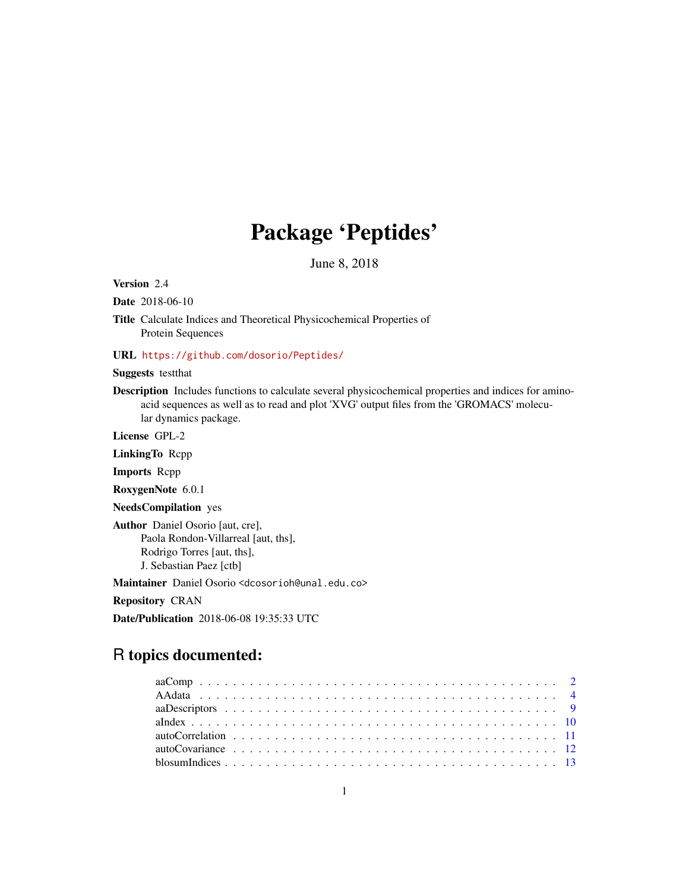# Package 'Peptides'

June 8, 2018

Version 2.4

Date 2018-06-10

Title Calculate Indices and Theoretical Physicochemical Properties of Protein Sequences

# URL <https://github.com/dosorio/Peptides/>

Suggests testthat

Description Includes functions to calculate several physicochemical properties and indices for aminoacid sequences as well as to read and plot 'XVG' output files from the 'GROMACS' molecular dynamics package.

License GPL-2

LinkingTo Rcpp

Imports Rcpp

RoxygenNote 6.0.1

NeedsCompilation yes

Author Daniel Osorio [aut, cre], Paola Rondon-Villarreal [aut, ths], Rodrigo Torres [aut, ths], J. Sebastian Paez [ctb]

Maintainer Daniel Osorio <dcosorioh@unal.edu.co>

Repository CRAN

Date/Publication 2018-06-08 19:35:33 UTC

# R topics documented: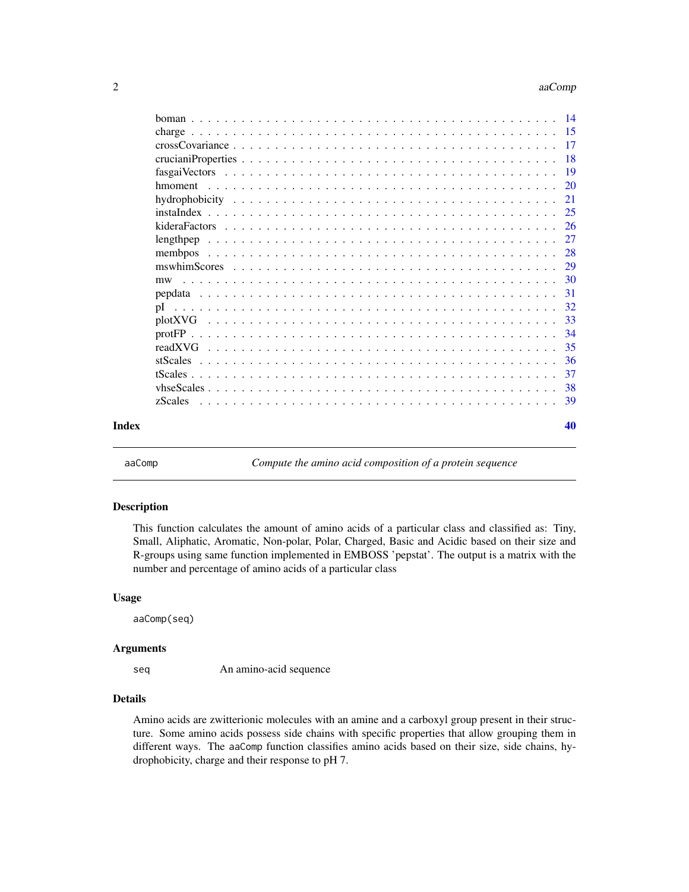#### <span id="page-1-0"></span>2 aa $Comp$

|       |         | -17       |
|-------|---------|-----------|
|       |         | -18       |
|       |         | <b>19</b> |
|       |         | 20        |
|       |         | 21        |
|       |         | 25        |
|       |         | -26       |
|       |         | 27        |
|       | memboos | 28        |
|       |         | 29        |
|       | mw      |           |
|       |         | 31        |
|       | pI      | 32        |
|       |         | 33        |
|       |         | 34        |
|       |         | -35       |
|       |         | 36        |
|       |         | 37        |
|       |         | 38        |
|       | zScales | -39       |
| Index |         | 40        |

aaComp *Compute the amino acid composition of a protein sequence*

# Description

This function calculates the amount of amino acids of a particular class and classified as: Tiny, Small, Aliphatic, Aromatic, Non-polar, Polar, Charged, Basic and Acidic based on their size and R-groups using same function implemented in EMBOSS 'pepstat'. The output is a matrix with the number and percentage of amino acids of a particular class

#### Usage

aaComp(seq)

#### Arguments

seq An amino-acid sequence

# Details

Amino acids are zwitterionic molecules with an amine and a carboxyl group present in their structure. Some amino acids possess side chains with specific properties that allow grouping them in different ways. The aaComp function classifies amino acids based on their size, side chains, hydrophobicity, charge and their response to pH 7.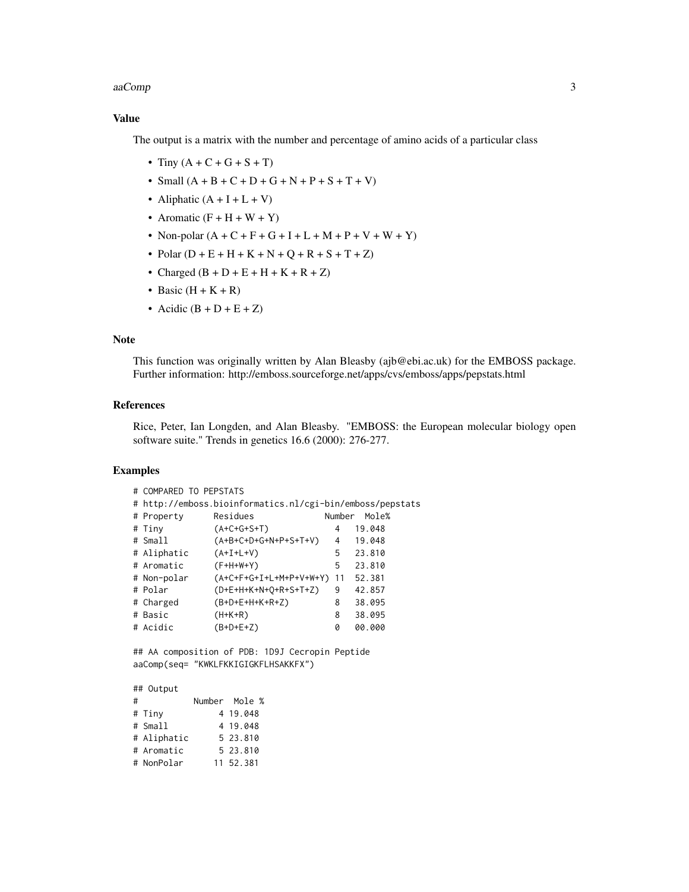#### aaComp 3

# Value

The output is a matrix with the number and percentage of amino acids of a particular class

- Tiny  $(A + C + G + S + T)$
- Small  $(A + B + C + D + G + N + P + S + T + V)$
- Aliphatic  $(A + I + L + V)$
- Aromatic  $(F + H + W + Y)$
- Non-polar  $(A + C + F + G + I + L + M + P + V + W + Y)$
- Polar  $(D + E + H + K + N + Q + R + S + T + Z)$
- Charged  $(B + D + E + H + K + R + Z)$
- Basic  $(H + K + R)$
- Acidic  $(B + D + E + Z)$

#### Note

This function was originally written by Alan Bleasby (ajb@ebi.ac.uk) for the EMBOSS package. Further information: http://emboss.sourceforge.net/apps/cvs/emboss/apps/pepstats.html

# References

Rice, Peter, Ian Longden, and Alan Bleasby. "EMBOSS: the European molecular biology open software suite." Trends in genetics 16.6 (2000): 276-277.

# Examples

| # COMPARED TO PEPSTATS |                                                           |        |        |
|------------------------|-----------------------------------------------------------|--------|--------|
|                        | # http://emboss.bioinformatics.nl/cgi-bin/emboss/pepstats |        |        |
| # Property             | Residues                                                  | Number | Mole%  |
| # Tiny                 | $(A+C+G+S+T)$                                             | 4      | 19.048 |
| # Small                | (A+B+C+D+G+N+P+S+T+V)                                     | 4      | 19.048 |
| # Aliphatic            | $(A+I+L+V)$                                               | 5      | 23.810 |
| # Aromatic             | $(F+H+W+Y)$                                               | 5      | 23.810 |
| # Non-polar            | $(A+C+F+G+I+L+M+P+V+W+Y)$                                 | 11     | 52.381 |
| # Polar                | $(D+E+H+K+N+Q+R+S+T+Z)$                                   | 9      | 42.857 |
| # Charged              | $(B+D+E+H+K+R+Z)$                                         | 8      | 38.095 |
| # Basic                | $(H+K+R)$                                                 | 8      | 38.095 |
| # Acidic               | $(B+D+E+Z)$                                               | Ø      | 00.000 |

## AA composition of PDB: 1D9J Cecropin Peptide aaComp(seq= "KWKLFKKIGIGKFLHSAKKFX")

| ## Output   |               |
|-------------|---------------|
| #           | Number Mole % |
| # Tiny      | 4 19 048      |
| # Small     | 4 19 048      |
| # Aliphatic | 5 23 810      |
| # Aromatic  | 5 23 810      |
| # NonPolar  | 11 52 381     |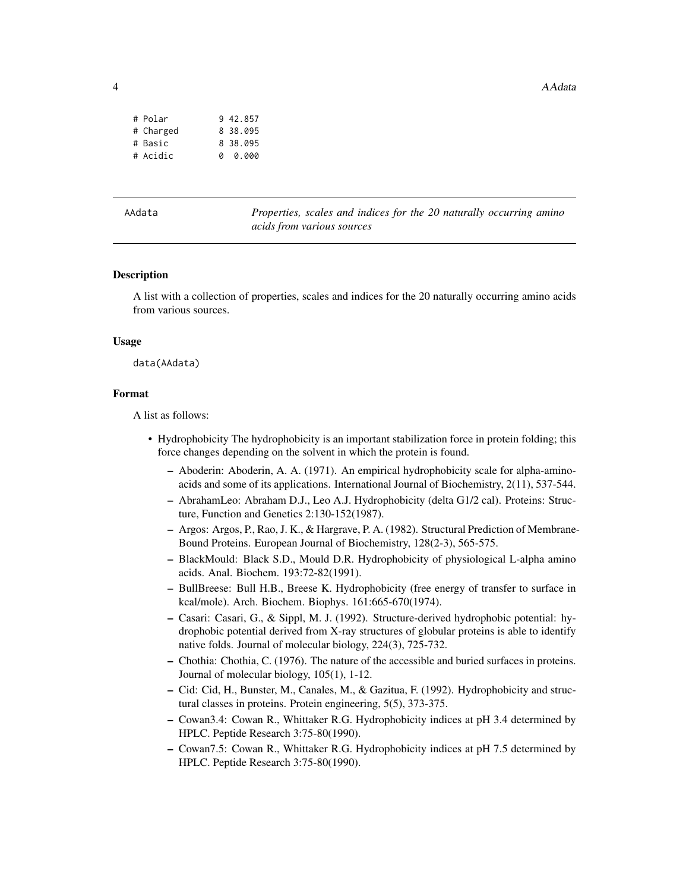<span id="page-3-0"></span>4 AAdata

| # Polar   |   | 9 42 857 |
|-----------|---|----------|
| # Charged |   | 8 38.095 |
| # Basic   |   | 8 38.095 |
| # Acidic  | a | 0.000    |

Properties, scales and indices for the 20 naturally occurring amino *acids from various sources*

#### Description

A list with a collection of properties, scales and indices for the 20 naturally occurring amino acids from various sources.

#### Usage

data(AAdata)

#### Format

A list as follows:

- Hydrophobicity The hydrophobicity is an important stabilization force in protein folding; this force changes depending on the solvent in which the protein is found.
	- Aboderin: Aboderin, A. A. (1971). An empirical hydrophobicity scale for alpha-aminoacids and some of its applications. International Journal of Biochemistry, 2(11), 537-544.
	- AbrahamLeo: Abraham D.J., Leo A.J. Hydrophobicity (delta G1/2 cal). Proteins: Structure, Function and Genetics 2:130-152(1987).
	- Argos: Argos, P., Rao, J. K., & Hargrave, P. A. (1982). Structural Prediction of Membrane-Bound Proteins. European Journal of Biochemistry, 128(2-3), 565-575.
	- BlackMould: Black S.D., Mould D.R. Hydrophobicity of physiological L-alpha amino acids. Anal. Biochem. 193:72-82(1991).
	- BullBreese: Bull H.B., Breese K. Hydrophobicity (free energy of transfer to surface in kcal/mole). Arch. Biochem. Biophys. 161:665-670(1974).
	- Casari: Casari, G., & Sippl, M. J. (1992). Structure-derived hydrophobic potential: hydrophobic potential derived from X-ray structures of globular proteins is able to identify native folds. Journal of molecular biology, 224(3), 725-732.
	- Chothia: Chothia, C. (1976). The nature of the accessible and buried surfaces in proteins. Journal of molecular biology, 105(1), 1-12.
	- Cid: Cid, H., Bunster, M., Canales, M., & Gazitua, F. (1992). Hydrophobicity and structural classes in proteins. Protein engineering, 5(5), 373-375.
	- Cowan3.4: Cowan R., Whittaker R.G. Hydrophobicity indices at pH 3.4 determined by HPLC. Peptide Research 3:75-80(1990).
	- Cowan7.5: Cowan R., Whittaker R.G. Hydrophobicity indices at pH 7.5 determined by HPLC. Peptide Research 3:75-80(1990).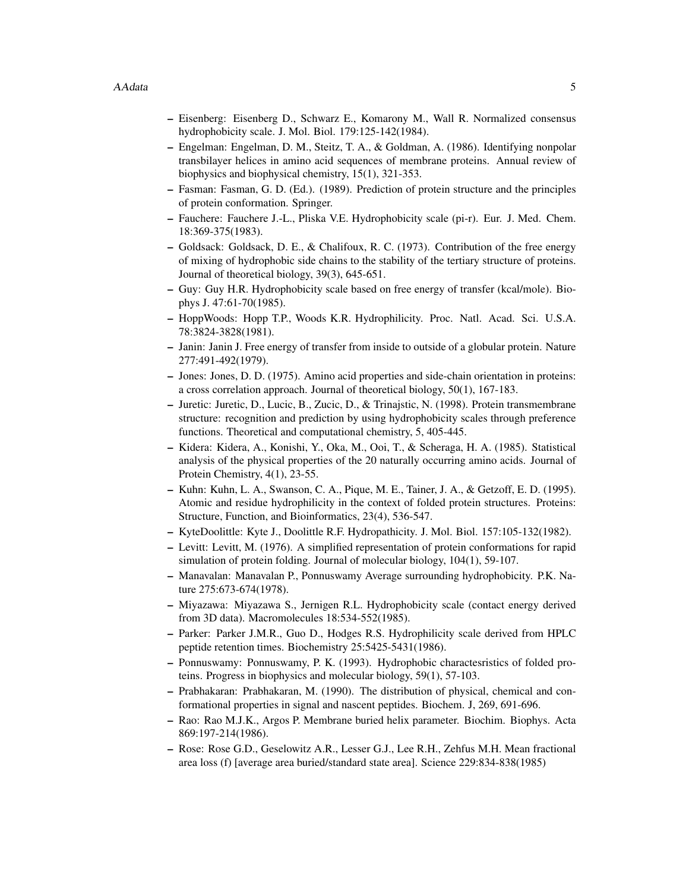- Eisenberg: Eisenberg D., Schwarz E., Komarony M., Wall R. Normalized consensus hydrophobicity scale. J. Mol. Biol. 179:125-142(1984).
- Engelman: Engelman, D. M., Steitz, T. A., & Goldman, A. (1986). Identifying nonpolar transbilayer helices in amino acid sequences of membrane proteins. Annual review of biophysics and biophysical chemistry, 15(1), 321-353.
- Fasman: Fasman, G. D. (Ed.). (1989). Prediction of protein structure and the principles of protein conformation. Springer.
- Fauchere: Fauchere J.-L., Pliska V.E. Hydrophobicity scale (pi-r). Eur. J. Med. Chem. 18:369-375(1983).
- Goldsack: Goldsack, D. E., & Chalifoux, R. C. (1973). Contribution of the free energy of mixing of hydrophobic side chains to the stability of the tertiary structure of proteins. Journal of theoretical biology, 39(3), 645-651.
- Guy: Guy H.R. Hydrophobicity scale based on free energy of transfer (kcal/mole). Biophys J. 47:61-70(1985).
- HoppWoods: Hopp T.P., Woods K.R. Hydrophilicity. Proc. Natl. Acad. Sci. U.S.A. 78:3824-3828(1981).
- Janin: Janin J. Free energy of transfer from inside to outside of a globular protein. Nature 277:491-492(1979).
- Jones: Jones, D. D. (1975). Amino acid properties and side-chain orientation in proteins: a cross correlation approach. Journal of theoretical biology, 50(1), 167-183.
- Juretic: Juretic, D., Lucic, B., Zucic, D., & Trinajstic, N. (1998). Protein transmembrane structure: recognition and prediction by using hydrophobicity scales through preference functions. Theoretical and computational chemistry, 5, 405-445.
- Kidera: Kidera, A., Konishi, Y., Oka, M., Ooi, T., & Scheraga, H. A. (1985). Statistical analysis of the physical properties of the 20 naturally occurring amino acids. Journal of Protein Chemistry, 4(1), 23-55.
- Kuhn: Kuhn, L. A., Swanson, C. A., Pique, M. E., Tainer, J. A., & Getzoff, E. D. (1995). Atomic and residue hydrophilicity in the context of folded protein structures. Proteins: Structure, Function, and Bioinformatics, 23(4), 536-547.
- KyteDoolittle: Kyte J., Doolittle R.F. Hydropathicity. J. Mol. Biol. 157:105-132(1982).
- Levitt: Levitt, M. (1976). A simplified representation of protein conformations for rapid simulation of protein folding. Journal of molecular biology, 104(1), 59-107.
- Manavalan: Manavalan P., Ponnuswamy Average surrounding hydrophobicity. P.K. Nature 275:673-674(1978).
- Miyazawa: Miyazawa S., Jernigen R.L. Hydrophobicity scale (contact energy derived from 3D data). Macromolecules 18:534-552(1985).
- Parker: Parker J.M.R., Guo D., Hodges R.S. Hydrophilicity scale derived from HPLC peptide retention times. Biochemistry 25:5425-5431(1986).
- Ponnuswamy: Ponnuswamy, P. K. (1993). Hydrophobic charactesristics of folded proteins. Progress in biophysics and molecular biology, 59(1), 57-103.
- Prabhakaran: Prabhakaran, M. (1990). The distribution of physical, chemical and conformational properties in signal and nascent peptides. Biochem. J, 269, 691-696.
- Rao: Rao M.J.K., Argos P. Membrane buried helix parameter. Biochim. Biophys. Acta 869:197-214(1986).
- Rose: Rose G.D., Geselowitz A.R., Lesser G.J., Lee R.H., Zehfus M.H. Mean fractional area loss (f) [average area buried/standard state area]. Science 229:834-838(1985)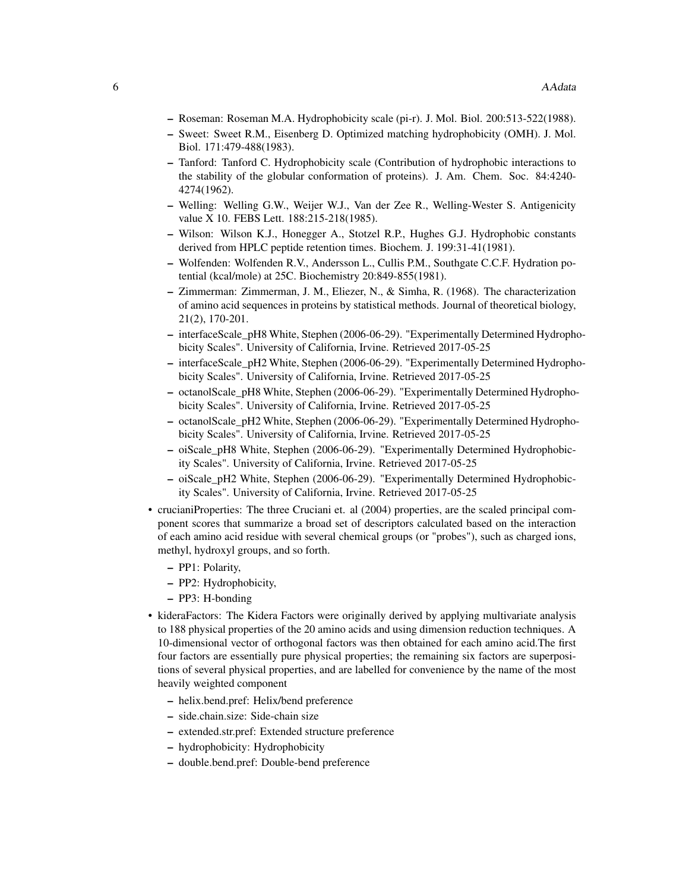- Roseman: Roseman M.A. Hydrophobicity scale (pi-r). J. Mol. Biol. 200:513-522(1988).
- Sweet: Sweet R.M., Eisenberg D. Optimized matching hydrophobicity (OMH). J. Mol. Biol. 171:479-488(1983).
- Tanford: Tanford C. Hydrophobicity scale (Contribution of hydrophobic interactions to the stability of the globular conformation of proteins). J. Am. Chem. Soc. 84:4240- 4274(1962).
- Welling: Welling G.W., Weijer W.J., Van der Zee R., Welling-Wester S. Antigenicity value X 10. FEBS Lett. 188:215-218(1985).
- Wilson: Wilson K.J., Honegger A., Stotzel R.P., Hughes G.J. Hydrophobic constants derived from HPLC peptide retention times. Biochem. J. 199:31-41(1981).
- Wolfenden: Wolfenden R.V., Andersson L., Cullis P.M., Southgate C.C.F. Hydration potential (kcal/mole) at 25C. Biochemistry 20:849-855(1981).
- Zimmerman: Zimmerman, J. M., Eliezer, N., & Simha, R. (1968). The characterization of amino acid sequences in proteins by statistical methods. Journal of theoretical biology, 21(2), 170-201.
- interfaceScale\_pH8 White, Stephen (2006-06-29). "Experimentally Determined Hydrophobicity Scales". University of California, Irvine. Retrieved 2017-05-25
- interfaceScale\_pH2 White, Stephen (2006-06-29). "Experimentally Determined Hydrophobicity Scales". University of California, Irvine. Retrieved 2017-05-25
- octanolScale\_pH8 White, Stephen (2006-06-29). "Experimentally Determined Hydrophobicity Scales". University of California, Irvine. Retrieved 2017-05-25
- octanolScale\_pH2 White, Stephen (2006-06-29). "Experimentally Determined Hydrophobicity Scales". University of California, Irvine. Retrieved 2017-05-25
- oiScale\_pH8 White, Stephen (2006-06-29). "Experimentally Determined Hydrophobicity Scales". University of California, Irvine. Retrieved 2017-05-25
- oiScale\_pH2 White, Stephen (2006-06-29). "Experimentally Determined Hydrophobicity Scales". University of California, Irvine. Retrieved 2017-05-25
- crucianiProperties: The three Cruciani et. al (2004) properties, are the scaled principal component scores that summarize a broad set of descriptors calculated based on the interaction of each amino acid residue with several chemical groups (or "probes"), such as charged ions, methyl, hydroxyl groups, and so forth.
	- PP1: Polarity,
	- PP2: Hydrophobicity,
	- PP3: H-bonding
- kideraFactors: The Kidera Factors were originally derived by applying multivariate analysis to 188 physical properties of the 20 amino acids and using dimension reduction techniques. A 10-dimensional vector of orthogonal factors was then obtained for each amino acid.The first four factors are essentially pure physical properties; the remaining six factors are superpositions of several physical properties, and are labelled for convenience by the name of the most heavily weighted component
	- helix.bend.pref: Helix/bend preference
	- side.chain.size: Side-chain size
	- extended.str.pref: Extended structure preference
	- hydrophobicity: Hydrophobicity
	- double.bend.pref: Double-bend preference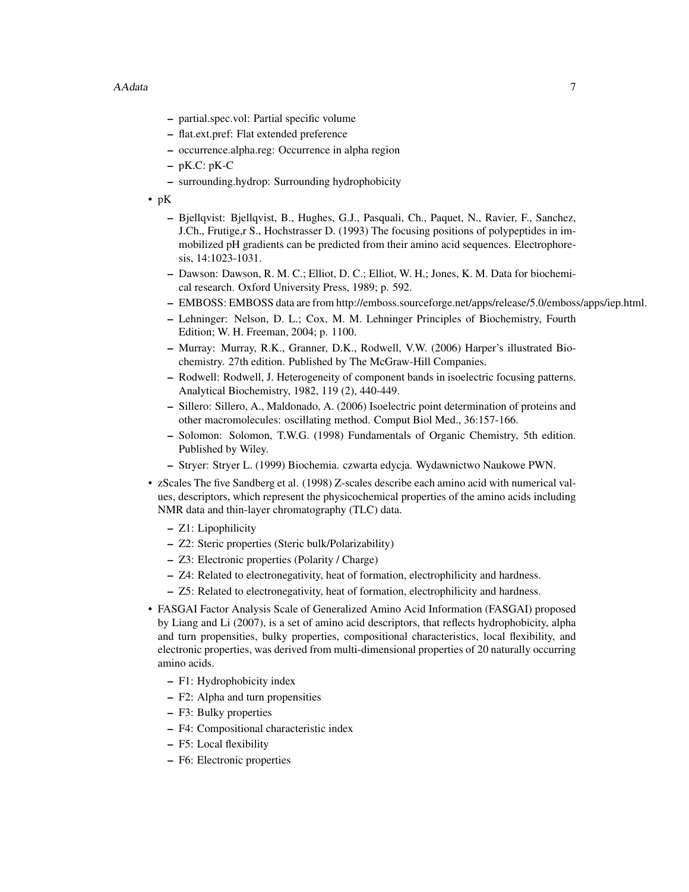- partial.spec.vol: Partial specific volume
- flat.ext.pref: Flat extended preference
- occurrence.alpha.reg: Occurrence in alpha region
- $-$  pK.C: pK-C
- surrounding.hydrop: Surrounding hydrophobicity
- pK
	- Bjellqvist: Bjellqvist, B., Hughes, G.J., Pasquali, Ch., Paquet, N., Ravier, F., Sanchez, J.Ch., Frutige,r S., Hochstrasser D. (1993) The focusing positions of polypeptides in immobilized pH gradients can be predicted from their amino acid sequences. Electrophoresis, 14:1023-1031.
	- Dawson: Dawson, R. M. C.; Elliot, D. C.; Elliot, W. H.; Jones, K. M. Data for biochemical research. Oxford University Press, 1989; p. 592.
	- EMBOSS: EMBOSS data are from http://emboss.sourceforge.net/apps/release/5.0/emboss/apps/iep.html.
	- Lehninger: Nelson, D. L.; Cox, M. M. Lehninger Principles of Biochemistry, Fourth Edition; W. H. Freeman, 2004; p. 1100.
	- Murray: Murray, R.K., Granner, D.K., Rodwell, V.W. (2006) Harper's illustrated Biochemistry. 27th edition. Published by The McGraw-Hill Companies.
	- Rodwell: Rodwell, J. Heterogeneity of component bands in isoelectric focusing patterns. Analytical Biochemistry, 1982, 119 (2), 440-449.
	- Sillero: Sillero, A., Maldonado, A. (2006) Isoelectric point determination of proteins and other macromolecules: oscillating method. Comput Biol Med., 36:157-166.
	- Solomon: Solomon, T.W.G. (1998) Fundamentals of Organic Chemistry, 5th edition. Published by Wiley.
	- Stryer: Stryer L. (1999) Biochemia. czwarta edycja. Wydawnictwo Naukowe PWN.
- zScales The five Sandberg et al. (1998) Z-scales describe each amino acid with numerical values, descriptors, which represent the physicochemical properties of the amino acids including NMR data and thin-layer chromatography (TLC) data.
	- Z1: Lipophilicity
	- Z2: Steric properties (Steric bulk/Polarizability)
	- Z3: Electronic properties (Polarity / Charge)
	- Z4: Related to electronegativity, heat of formation, electrophilicity and hardness.
	- Z5: Related to electronegativity, heat of formation, electrophilicity and hardness.
- FASGAI Factor Analysis Scale of Generalized Amino Acid Information (FASGAI) proposed by Liang and Li (2007), is a set of amino acid descriptors, that reflects hydrophobicity, alpha and turn propensities, bulky properties, compositional characteristics, local flexibility, and electronic properties, was derived from multi-dimensional properties of 20 naturally occurring amino acids.
	- F1: Hydrophobicity index
	- F2: Alpha and turn propensities
	- F3: Bulky properties
	- F4: Compositional characteristic index
	- F5: Local flexibility
	- F6: Electronic properties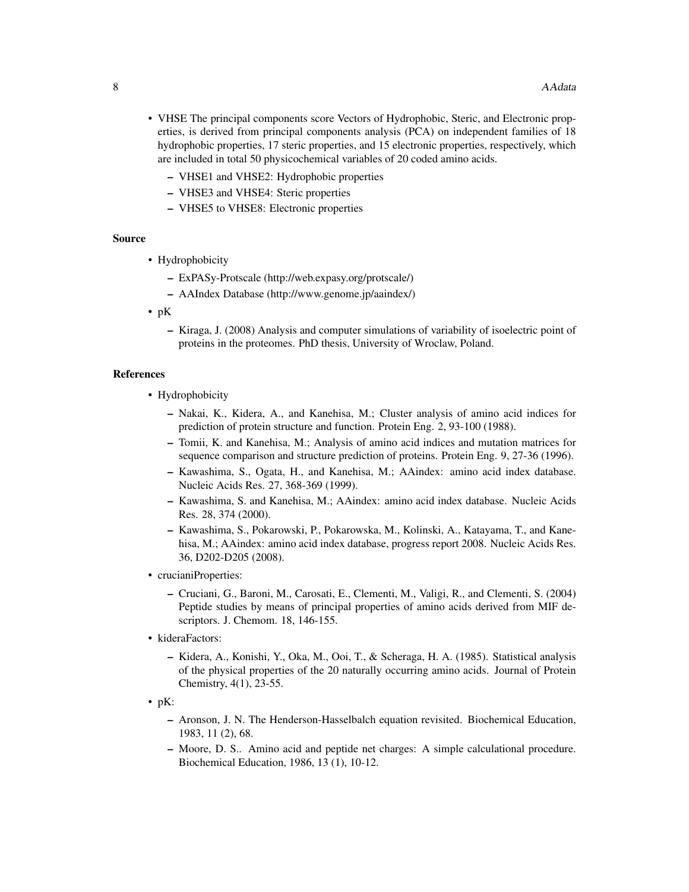- VHSE The principal components score Vectors of Hydrophobic, Steric, and Electronic properties, is derived from principal components analysis (PCA) on independent families of 18 hydrophobic properties, 17 steric properties, and 15 electronic properties, respectively, which are included in total 50 physicochemical variables of 20 coded amino acids.
	- VHSE1 and VHSE2: Hydrophobic properties
	- VHSE3 and VHSE4: Steric properties
	- VHSE5 to VHSE8: Electronic properties

## Source

- Hydrophobicity
	- ExPASy-Protscale (http://web.expasy.org/protscale/)
	- AAIndex Database (http://www.genome.jp/aaindex/)
- pK
	- Kiraga, J. (2008) Analysis and computer simulations of variability of isoelectric point of proteins in the proteomes. PhD thesis, University of Wroclaw, Poland.

#### References

- Hydrophobicity
	- Nakai, K., Kidera, A., and Kanehisa, M.; Cluster analysis of amino acid indices for prediction of protein structure and function. Protein Eng. 2, 93-100 (1988).
	- Tomii, K. and Kanehisa, M.; Analysis of amino acid indices and mutation matrices for sequence comparison and structure prediction of proteins. Protein Eng. 9, 27-36 (1996).
	- Kawashima, S., Ogata, H., and Kanehisa, M.; AAindex: amino acid index database. Nucleic Acids Res. 27, 368-369 (1999).
	- Kawashima, S. and Kanehisa, M.; AAindex: amino acid index database. Nucleic Acids Res. 28, 374 (2000).
	- Kawashima, S., Pokarowski, P., Pokarowska, M., Kolinski, A., Katayama, T., and Kanehisa, M.; AAindex: amino acid index database, progress report 2008. Nucleic Acids Res. 36, D202-D205 (2008).
- crucianiProperties:
	- Cruciani, G., Baroni, M., Carosati, E., Clementi, M., Valigi, R., and Clementi, S. (2004) Peptide studies by means of principal properties of amino acids derived from MIF descriptors. J. Chemom. 18, 146-155.
- kideraFactors:
	- Kidera, A., Konishi, Y., Oka, M., Ooi, T., & Scheraga, H. A. (1985). Statistical analysis of the physical properties of the 20 naturally occurring amino acids. Journal of Protein Chemistry, 4(1), 23-55.
- $\bullet$  pK:
	- Aronson, J. N. The Henderson-Hasselbalch equation revisited. Biochemical Education, 1983, 11 (2), 68.
	- Moore, D. S.. Amino acid and peptide net charges: A simple calculational procedure. Biochemical Education, 1986, 13 (1), 10-12.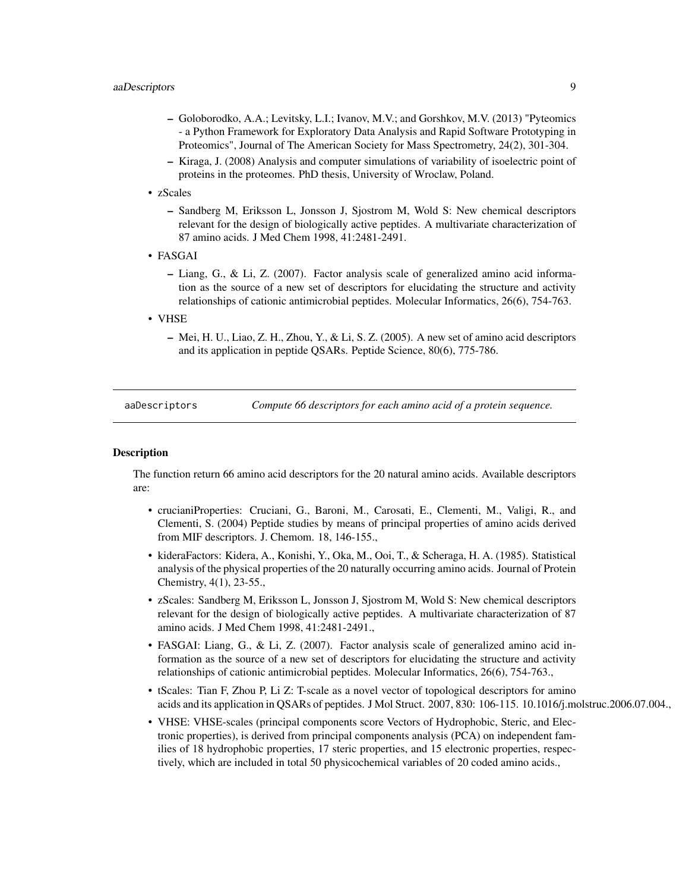- <span id="page-8-0"></span>– Goloborodko, A.A.; Levitsky, L.I.; Ivanov, M.V.; and Gorshkov, M.V. (2013) "Pyteomics - a Python Framework for Exploratory Data Analysis and Rapid Software Prototyping in Proteomics", Journal of The American Society for Mass Spectrometry, 24(2), 301-304.
- Kiraga, J. (2008) Analysis and computer simulations of variability of isoelectric point of proteins in the proteomes. PhD thesis, University of Wroclaw, Poland.
- zScales
	- Sandberg M, Eriksson L, Jonsson J, Sjostrom M, Wold S: New chemical descriptors relevant for the design of biologically active peptides. A multivariate characterization of 87 amino acids. J Med Chem 1998, 41:2481-2491.
- FASGAI
	- Liang, G., & Li, Z. (2007). Factor analysis scale of generalized amino acid information as the source of a new set of descriptors for elucidating the structure and activity relationships of cationic antimicrobial peptides. Molecular Informatics, 26(6), 754-763.
- VHSE
	- Mei, H. U., Liao, Z. H., Zhou, Y., & Li, S. Z. (2005). A new set of amino acid descriptors and its application in peptide QSARs. Peptide Science, 80(6), 775-786.

aaDescriptors *Compute 66 descriptors for each amino acid of a protein sequence.*

# **Description**

The function return 66 amino acid descriptors for the 20 natural amino acids. Available descriptors are:

- crucianiProperties: Cruciani, G., Baroni, M., Carosati, E., Clementi, M., Valigi, R., and Clementi, S. (2004) Peptide studies by means of principal properties of amino acids derived from MIF descriptors. J. Chemom. 18, 146-155.,
- kideraFactors: Kidera, A., Konishi, Y., Oka, M., Ooi, T., & Scheraga, H. A. (1985). Statistical analysis of the physical properties of the 20 naturally occurring amino acids. Journal of Protein Chemistry, 4(1), 23-55.,
- zScales: Sandberg M, Eriksson L, Jonsson J, Sjostrom M, Wold S: New chemical descriptors relevant for the design of biologically active peptides. A multivariate characterization of 87 amino acids. J Med Chem 1998, 41:2481-2491.,
- FASGAI: Liang, G., & Li, Z. (2007). Factor analysis scale of generalized amino acid information as the source of a new set of descriptors for elucidating the structure and activity relationships of cationic antimicrobial peptides. Molecular Informatics, 26(6), 754-763.,
- tScales: Tian F, Zhou P, Li Z: T-scale as a novel vector of topological descriptors for amino acids and its application in QSARs of peptides. J Mol Struct. 2007, 830: 106-115. 10.1016/j.molstruc.2006.07.004.,
- VHSE: VHSE-scales (principal components score Vectors of Hydrophobic, Steric, and Electronic properties), is derived from principal components analysis (PCA) on independent families of 18 hydrophobic properties, 17 steric properties, and 15 electronic properties, respectively, which are included in total 50 physicochemical variables of 20 coded amino acids.,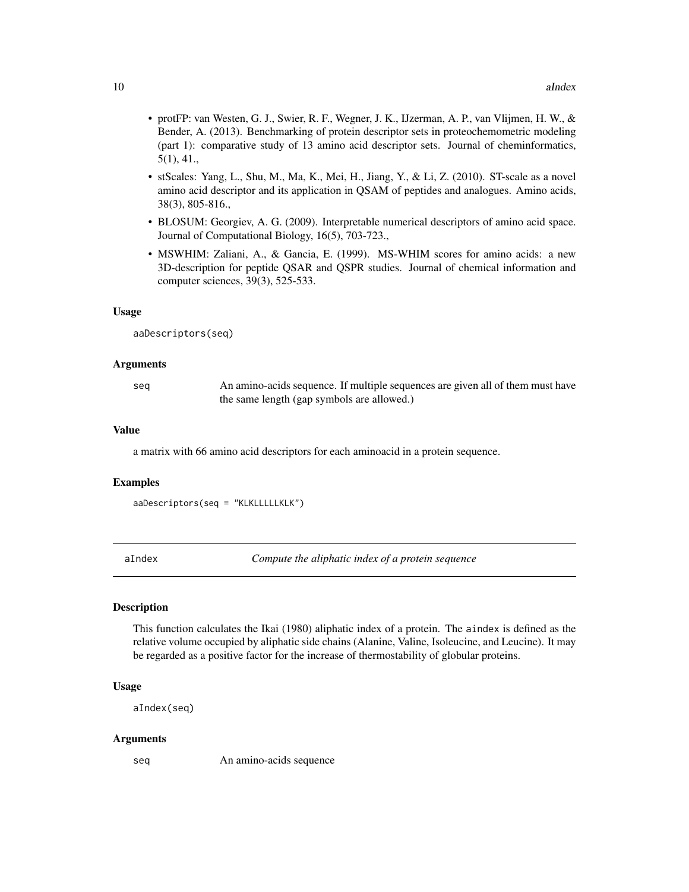- <span id="page-9-0"></span>• protFP: van Westen, G. J., Swier, R. F., Wegner, J. K., IJzerman, A. P., van Vlijmen, H. W., & Bender, A. (2013). Benchmarking of protein descriptor sets in proteochemometric modeling (part 1): comparative study of 13 amino acid descriptor sets. Journal of cheminformatics, 5(1), 41.,
- stScales: Yang, L., Shu, M., Ma, K., Mei, H., Jiang, Y., & Li, Z. (2010). ST-scale as a novel amino acid descriptor and its application in QSAM of peptides and analogues. Amino acids, 38(3), 805-816.,
- BLOSUM: Georgiev, A. G. (2009). Interpretable numerical descriptors of amino acid space. Journal of Computational Biology, 16(5), 703-723.,
- MSWHIM: Zaliani, A., & Gancia, E. (1999). MS-WHIM scores for amino acids: a new 3D-description for peptide QSAR and QSPR studies. Journal of chemical information and computer sciences, 39(3), 525-533.

#### Usage

aaDescriptors(seq)

### Arguments

seq An amino-acids sequence. If multiple sequences are given all of them must have the same length (gap symbols are allowed.)

#### Value

a matrix with 66 amino acid descriptors for each aminoacid in a protein sequence.

# Examples

```
aaDescriptors(seq = "KLKLLLLLKLK")
```
aIndex *Compute the aliphatic index of a protein sequence*

# **Description**

This function calculates the Ikai (1980) aliphatic index of a protein. The aindex is defined as the relative volume occupied by aliphatic side chains (Alanine, Valine, Isoleucine, and Leucine). It may be regarded as a positive factor for the increase of thermostability of globular proteins.

#### Usage

```
aIndex(seq)
```
#### Arguments

seq An amino-acids sequence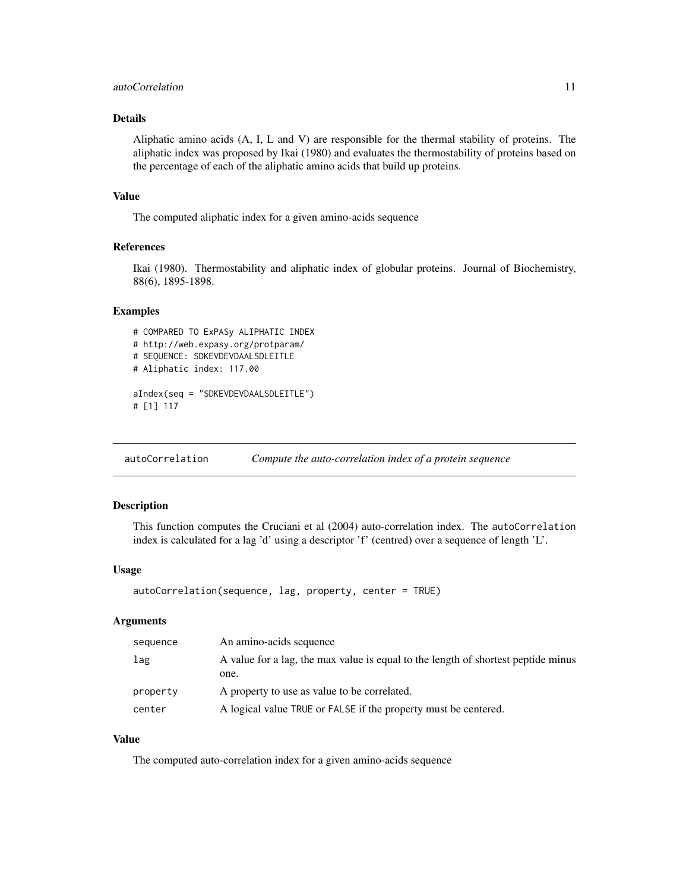# <span id="page-10-0"></span>autoCorrelation 11

# Details

Aliphatic amino acids (A, I, L and V) are responsible for the thermal stability of proteins. The aliphatic index was proposed by Ikai (1980) and evaluates the thermostability of proteins based on the percentage of each of the aliphatic amino acids that build up proteins.

#### Value

The computed aliphatic index for a given amino-acids sequence

# References

Ikai (1980). Thermostability and aliphatic index of globular proteins. Journal of Biochemistry, 88(6), 1895-1898.

#### Examples

```
# COMPARED TO ExPASy ALIPHATIC INDEX
# http://web.expasy.org/protparam/
# SEQUENCE: SDKEVDEVDAALSDLEITLE
# Aliphatic index: 117.00
aIndex(seq = "SDKEVDEVDAALSDLEITLE")
# [1] 117
```
autoCorrelation *Compute the auto-correlation index of a protein sequence*

#### Description

This function computes the Cruciani et al (2004) auto-correlation index. The autoCorrelation index is calculated for a lag 'd' using a descriptor 'f' (centred) over a sequence of length 'L'.

#### Usage

```
autoCorrelation(sequence, lag, property, center = TRUE)
```
### Arguments

| sequence | An amino-acids sequence                                                                   |
|----------|-------------------------------------------------------------------------------------------|
| lag      | A value for a lag, the max value is equal to the length of shortest peptide minus<br>one. |
| property | A property to use as value to be correlated.                                              |
| center   | A logical value TRUE or FALSE if the property must be centered.                           |

# Value

The computed auto-correlation index for a given amino-acids sequence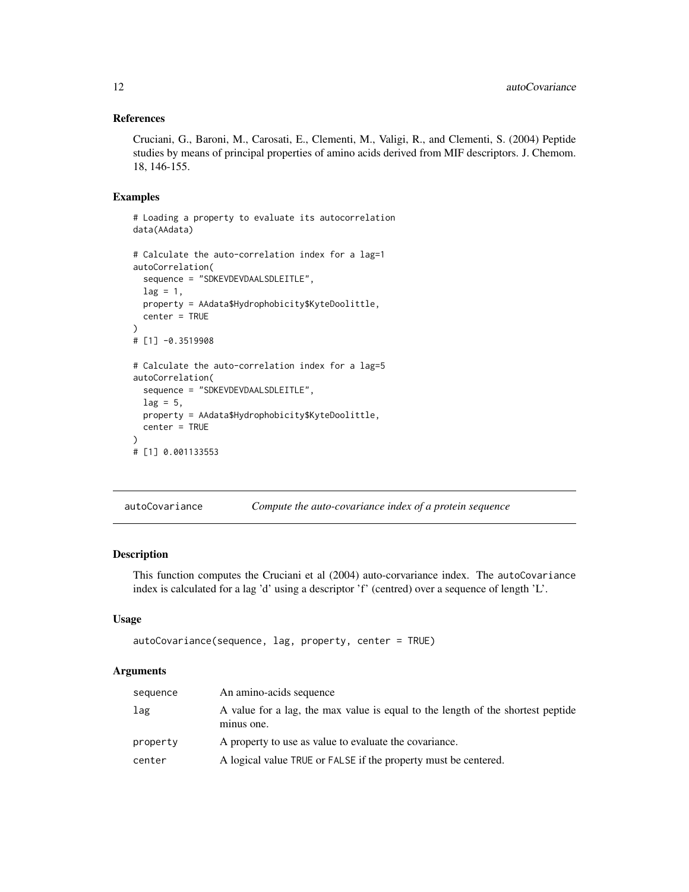# <span id="page-11-0"></span>References

Cruciani, G., Baroni, M., Carosati, E., Clementi, M., Valigi, R., and Clementi, S. (2004) Peptide studies by means of principal properties of amino acids derived from MIF descriptors. J. Chemom. 18, 146-155.

### Examples

```
# Loading a property to evaluate its autocorrelation
data(AAdata)
# Calculate the auto-correlation index for a lag=1
autoCorrelation(
 sequence = "SDKEVDEVDAALSDLEITLE",
 lag = 1,property = AAdata$Hydrophobicity$KyteDoolittle,
 center = TRUE
)
# [1] -0.3519908
# Calculate the auto-correlation index for a lag=5
autoCorrelation(
 sequence = "SDKEVDEVDAALSDLEITLE",
 lag = 5,
 property = AAdata$Hydrophobicity$KyteDoolittle,
 center = TRUE
\lambda# [1] 0.001133553
```
autoCovariance *Compute the auto-covariance index of a protein sequence*

# Description

This function computes the Cruciani et al (2004) auto-corvariance index. The autoCovariance index is calculated for a lag 'd' using a descriptor 'f' (centred) over a sequence of length 'L'.

# Usage

```
autoCovariance(sequence, lag, property, center = TRUE)
```
#### Arguments

| sequence | An amino-acids sequence                                                                       |
|----------|-----------------------------------------------------------------------------------------------|
| lag      | A value for a lag, the max value is equal to the length of the shortest peptide<br>minus one. |
| property | A property to use as value to evaluate the covariance.                                        |
| center   | A logical value TRUE or FALSE if the property must be centered.                               |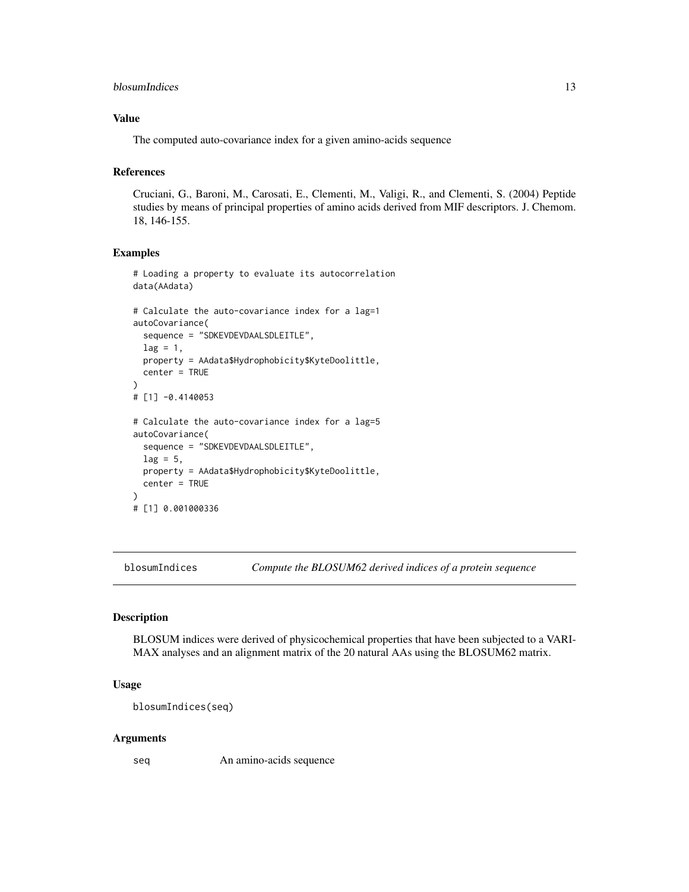```
blosumIndices and the state of the state of the state of the state of the state of the state of the state of the state of the state of the state of the state of the state of the state of the state of the state of the state
```
# Value

The computed auto-covariance index for a given amino-acids sequence

# References

Cruciani, G., Baroni, M., Carosati, E., Clementi, M., Valigi, R., and Clementi, S. (2004) Peptide studies by means of principal properties of amino acids derived from MIF descriptors. J. Chemom. 18, 146-155.

# Examples

```
# Loading a property to evaluate its autocorrelation
data(AAdata)
# Calculate the auto-covariance index for a lag=1
autoCovariance(
 sequence = "SDKEVDEVDAALSDLEITLE",
 lag = 1,property = AAdata$Hydrophobicity$KyteDoolittle,
 center = TRUE
\lambda# [1] -0.4140053
# Calculate the auto-covariance index for a lag=5
autoCovariance(
 sequence = "SDKEVDEVDAALSDLEITLE",
 lag = 5,property = AAdata$Hydrophobicity$KyteDoolittle,
 center = TRUE
)
# [1] 0.001000336
```
blosumIndices *Compute the BLOSUM62 derived indices of a protein sequence*

#### Description

BLOSUM indices were derived of physicochemical properties that have been subjected to a VARI-MAX analyses and an alignment matrix of the 20 natural AAs using the BLOSUM62 matrix.

# Usage

```
blosumIndices(seq)
```
#### Arguments

seq An amino-acids sequence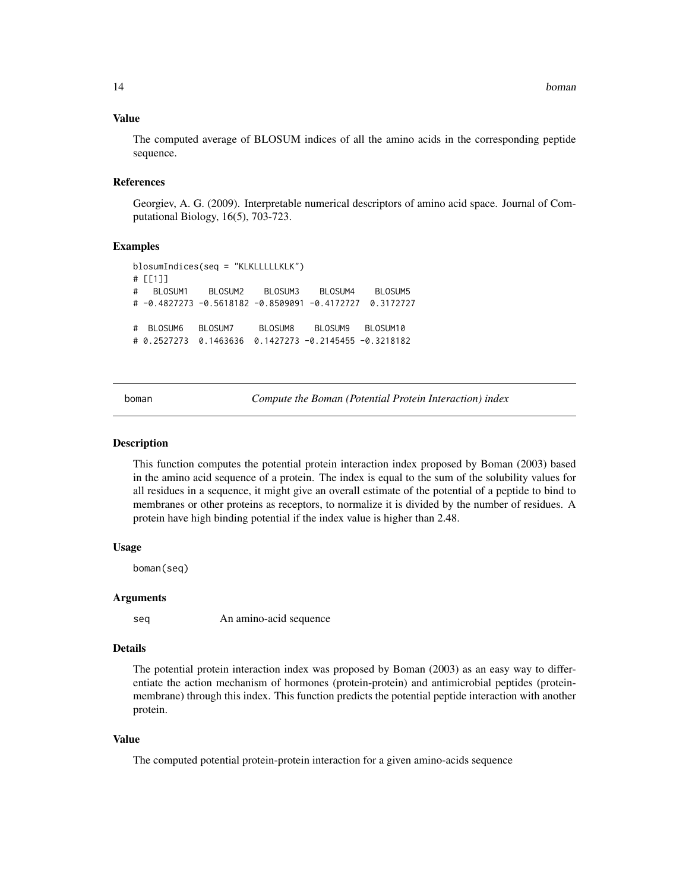# <span id="page-13-0"></span>Value

The computed average of BLOSUM indices of all the amino acids in the corresponding peptide sequence.

#### References

Georgiev, A. G. (2009). Interpretable numerical descriptors of amino acid space. Journal of Computational Biology, 16(5), 703-723.

#### Examples

```
blosumIndices(seq = "KLKLLLLLKLK")
# [[1]]
# BLOSUM1 BLOSUM2 BLOSUM3 BLOSUM4 BLOSUM5
# -0.4827273 -0.5618182 -0.8509091 -0.4172727 0.3172727
# BLOSUM6 BLOSUM7 BLOSUM8 BLOSUM9 BLOSUM10
# 0.2527273 0.1463636 0.1427273 -0.2145455 -0.3218182
```
boman *Compute the Boman (Potential Protein Interaction) index*

#### Description

This function computes the potential protein interaction index proposed by Boman (2003) based in the amino acid sequence of a protein. The index is equal to the sum of the solubility values for all residues in a sequence, it might give an overall estimate of the potential of a peptide to bind to membranes or other proteins as receptors, to normalize it is divided by the number of residues. A protein have high binding potential if the index value is higher than 2.48.

# Usage

boman(seq)

#### Arguments

seq An amino-acid sequence

#### Details

The potential protein interaction index was proposed by Boman (2003) as an easy way to differentiate the action mechanism of hormones (protein-protein) and antimicrobial peptides (proteinmembrane) through this index. This function predicts the potential peptide interaction with another protein.

# Value

The computed potential protein-protein interaction for a given amino-acids sequence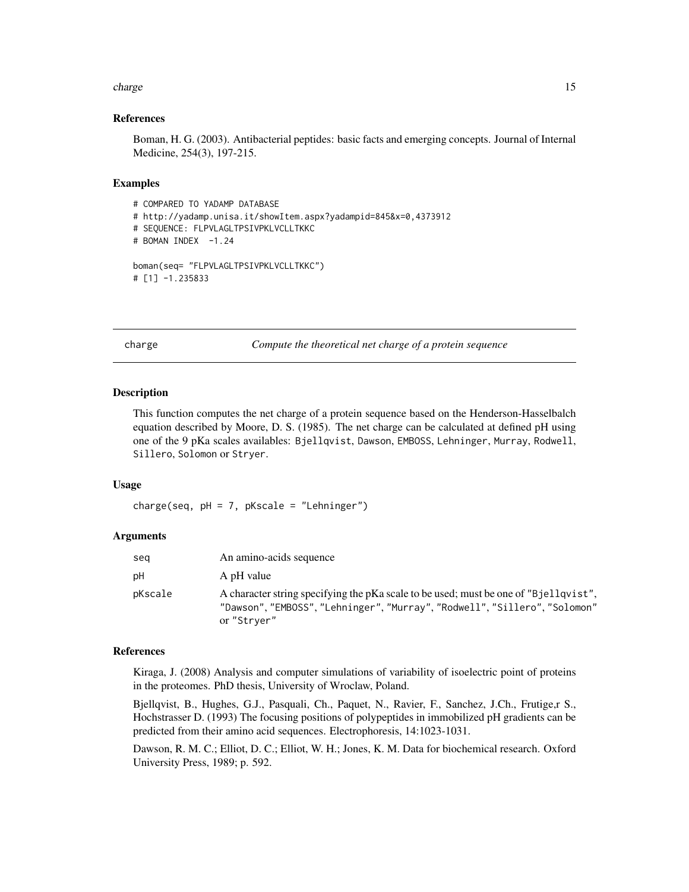#### <span id="page-14-0"></span>charge the charge that the charge is a strong structure of the charge in the charge in the charge in the charge in the charge in the charge in the charge in the charge in the charge in the charge in the charge in the charg

#### References

Boman, H. G. (2003). Antibacterial peptides: basic facts and emerging concepts. Journal of Internal Medicine, 254(3), 197-215.

#### Examples

```
# COMPARED TO YADAMP DATABASE
# http://yadamp.unisa.it/showItem.aspx?yadampid=845&x=0,4373912
# SEQUENCE: FLPVLAGLTPSIVPKLVCLLTKKC
# BOMAN INDEX -1.24
boman(seq= "FLPVLAGLTPSIVPKLVCLLTKKC")
# [1] -1.235833
```
charge *Compute the theoretical net charge of a protein sequence*

#### **Description**

This function computes the net charge of a protein sequence based on the Henderson-Hasselbalch equation described by Moore, D. S. (1985). The net charge can be calculated at defined pH using one of the 9 pKa scales availables: Bjellqvist, Dawson, EMBOSS, Lehninger, Murray, Rodwell, Sillero, Solomon or Stryer.

#### Usage

 $charge(seq, pH = 7, pkscale = "Lehninger")$ 

# Arguments

| seg     | An amino-acids sequence                                                                                                                                                             |
|---------|-------------------------------------------------------------------------------------------------------------------------------------------------------------------------------------|
| рH      | A pH value                                                                                                                                                                          |
| pKscale | A character string specifying the pKa scale to be used; must be one of "B jell qvist".<br>"Dawson", "EMBOSS", "Lehninger", "Murray", "Rodwell", "Sillero", "Solomon"<br>or "Strver" |

# References

Kiraga, J. (2008) Analysis and computer simulations of variability of isoelectric point of proteins in the proteomes. PhD thesis, University of Wroclaw, Poland.

Bjellqvist, B., Hughes, G.J., Pasquali, Ch., Paquet, N., Ravier, F., Sanchez, J.Ch., Frutige,r S., Hochstrasser D. (1993) The focusing positions of polypeptides in immobilized pH gradients can be predicted from their amino acid sequences. Electrophoresis, 14:1023-1031.

Dawson, R. M. C.; Elliot, D. C.; Elliot, W. H.; Jones, K. M. Data for biochemical research. Oxford University Press, 1989; p. 592.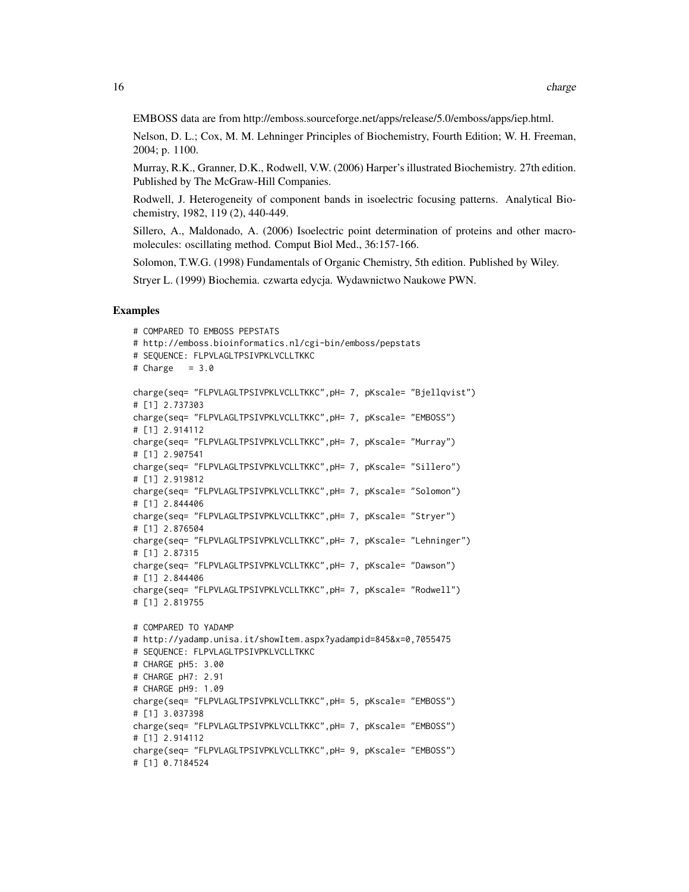EMBOSS data are from http://emboss.sourceforge.net/apps/release/5.0/emboss/apps/iep.html.

Nelson, D. L.; Cox, M. M. Lehninger Principles of Biochemistry, Fourth Edition; W. H. Freeman, 2004; p. 1100.

Murray, R.K., Granner, D.K., Rodwell, V.W. (2006) Harper's illustrated Biochemistry. 27th edition. Published by The McGraw-Hill Companies.

Rodwell, J. Heterogeneity of component bands in isoelectric focusing patterns. Analytical Biochemistry, 1982, 119 (2), 440-449.

Sillero, A., Maldonado, A. (2006) Isoelectric point determination of proteins and other macromolecules: oscillating method. Comput Biol Med., 36:157-166.

Solomon, T.W.G. (1998) Fundamentals of Organic Chemistry, 5th edition. Published by Wiley.

Stryer L. (1999) Biochemia. czwarta edycja. Wydawnictwo Naukowe PWN.

```
# COMPARED TO EMBOSS PEPSTATS
# http://emboss.bioinformatics.nl/cgi-bin/emboss/pepstats
# SEQUENCE: FLPVLAGLTPSIVPKLVCLLTKKC
# Charge = 3.0charge(seq= "FLPVLAGLTPSIVPKLVCLLTKKC",pH= 7, pKscale= "Bjellqvist")
# [1] 2.737303
charge(seq= "FLPVLAGLTPSIVPKLVCLLTKKC",pH= 7, pKscale= "EMBOSS")
# [1] 2.914112
charge(seq= "FLPVLAGLTPSIVPKLVCLLTKKC",pH= 7, pKscale= "Murray")
# [1] 2.907541
charge(seq= "FLPVLAGLTPSIVPKLVCLLTKKC",pH= 7, pKscale= "Sillero")
# [1] 2.919812
charge(seq= "FLPVLAGLTPSIVPKLVCLLTKKC",pH= 7, pKscale= "Solomon")
# [1] 2.844406
charge(seq= "FLPVLAGLTPSIVPKLVCLLTKKC",pH= 7, pKscale= "Stryer")
# [1] 2.876504
charge(seq= "FLPVLAGLTPSIVPKLVCLLTKKC",pH= 7, pKscale= "Lehninger")
# [1] 2.87315
charge(seq= "FLPVLAGLTPSIVPKLVCLLTKKC",pH= 7, pKscale= "Dawson")
# [1] 2.844406
charge(seq= "FLPVLAGLTPSIVPKLVCLLTKKC",pH= 7, pKscale= "Rodwell")
# [1] 2.819755
# COMPARED TO YADAMP
# http://yadamp.unisa.it/showItem.aspx?yadampid=845&x=0,7055475
# SEQUENCE: FLPVLAGLTPSIVPKLVCLLTKKC
# CHARGE pH5: 3.00
# CHARGE pH7: 2.91
# CHARGE pH9: 1.09
charge(seq= "FLPVLAGLTPSIVPKLVCLLTKKC",pH= 5, pKscale= "EMBOSS")
# [1] 3.037398
charge(seq= "FLPVLAGLTPSIVPKLVCLLTKKC",pH= 7, pKscale= "EMBOSS")
# [1] 2.914112
charge(seq= "FLPVLAGLTPSIVPKLVCLLTKKC",pH= 9, pKscale= "EMBOSS")
# [1] 0.7184524
```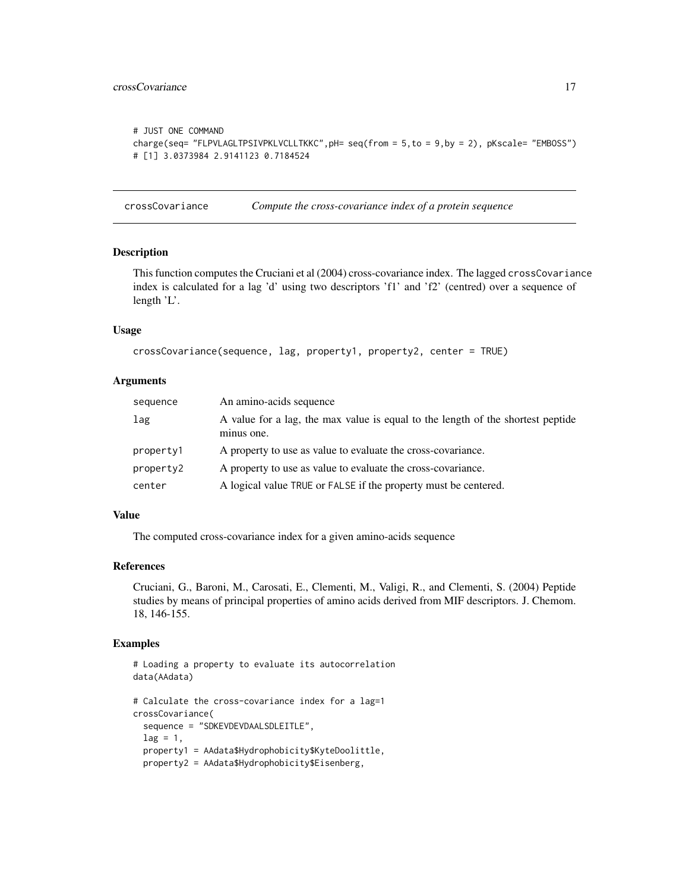# <span id="page-16-0"></span>crossCovariance 17

```
# JUST ONE COMMAND
charge(seq= "FLPVLAGLTPSIVPKLVCLLTKKC",pH= seq(from = 5,to = 9,by = 2), pKscale= "EMBOSS")
# [1] 3.0373984 2.9141123 0.7184524
```
crossCovariance *Compute the cross-covariance index of a protein sequence*

#### Description

This function computes the Cruciani et al (2004) cross-covariance index. The lagged crossCovariance index is calculated for a lag 'd' using two descriptors 'f1' and 'f2' (centred) over a sequence of length 'L'.

#### Usage

```
crossCovariance(sequence, lag, property1, property2, center = TRUE)
```
# Arguments

| sequence  | An amino-acids sequence                                                                       |
|-----------|-----------------------------------------------------------------------------------------------|
| lag       | A value for a lag, the max value is equal to the length of the shortest peptide<br>minus one. |
| property1 | A property to use as value to evaluate the cross-covariance.                                  |
| property2 | A property to use as value to evaluate the cross-covariance.                                  |
| center    | A logical value TRUE or FALSE if the property must be centered.                               |

# Value

The computed cross-covariance index for a given amino-acids sequence

#### References

Cruciani, G., Baroni, M., Carosati, E., Clementi, M., Valigi, R., and Clementi, S. (2004) Peptide studies by means of principal properties of amino acids derived from MIF descriptors. J. Chemom. 18, 146-155.

```
# Loading a property to evaluate its autocorrelation
data(AAdata)
# Calculate the cross-covariance index for a lag=1
crossCovariance(
 sequence = "SDKEVDEVDAALSDLEITLE",
 lag = 1,
 property1 = AAdata$Hydrophobicity$KyteDoolittle,
 property2 = AAdata$Hydrophobicity$Eisenberg,
```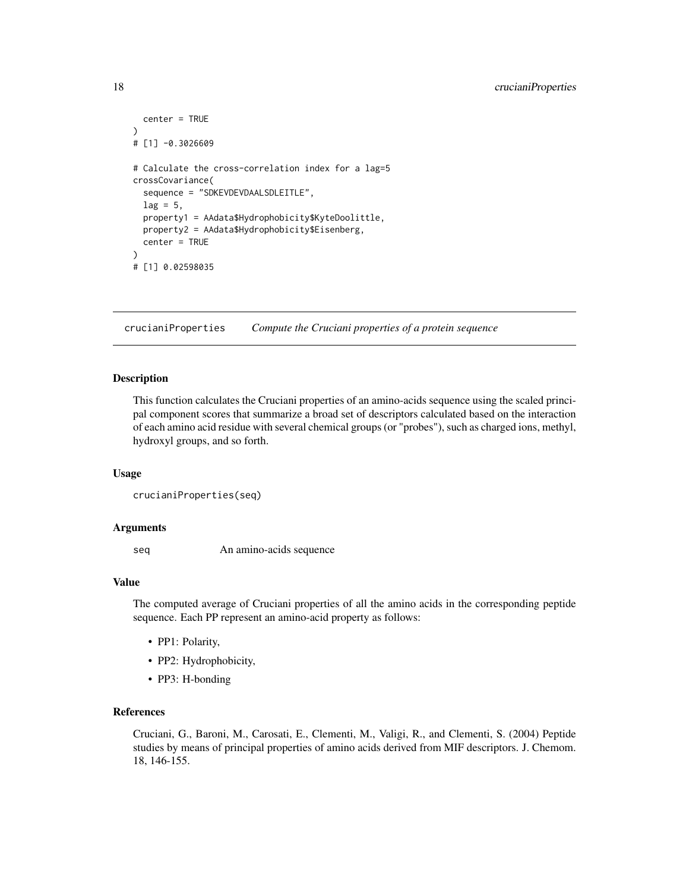```
center = TRUE
)
# [1] -0.3026609
# Calculate the cross-correlation index for a lag=5
crossCovariance(
  sequence = "SDKEVDEVDAALSDLEITLE",
  lag = 5,
  property1 = AAdata$Hydrophobicity$KyteDoolittle,
  property2 = AAdata$Hydrophobicity$Eisenberg,
  center = TRUE
\mathcal{L}# [1] 0.02598035
```
crucianiProperties *Compute the Cruciani properties of a protein sequence*

# Description

This function calculates the Cruciani properties of an amino-acids sequence using the scaled principal component scores that summarize a broad set of descriptors calculated based on the interaction of each amino acid residue with several chemical groups (or "probes"), such as charged ions, methyl, hydroxyl groups, and so forth.

#### Usage

```
crucianiProperties(seq)
```
#### Arguments

seq An amino-acids sequence

# Value

The computed average of Cruciani properties of all the amino acids in the corresponding peptide sequence. Each PP represent an amino-acid property as follows:

- PP1: Polarity,
- PP2: Hydrophobicity,
- PP3: H-bonding

# References

Cruciani, G., Baroni, M., Carosati, E., Clementi, M., Valigi, R., and Clementi, S. (2004) Peptide studies by means of principal properties of amino acids derived from MIF descriptors. J. Chemom. 18, 146-155.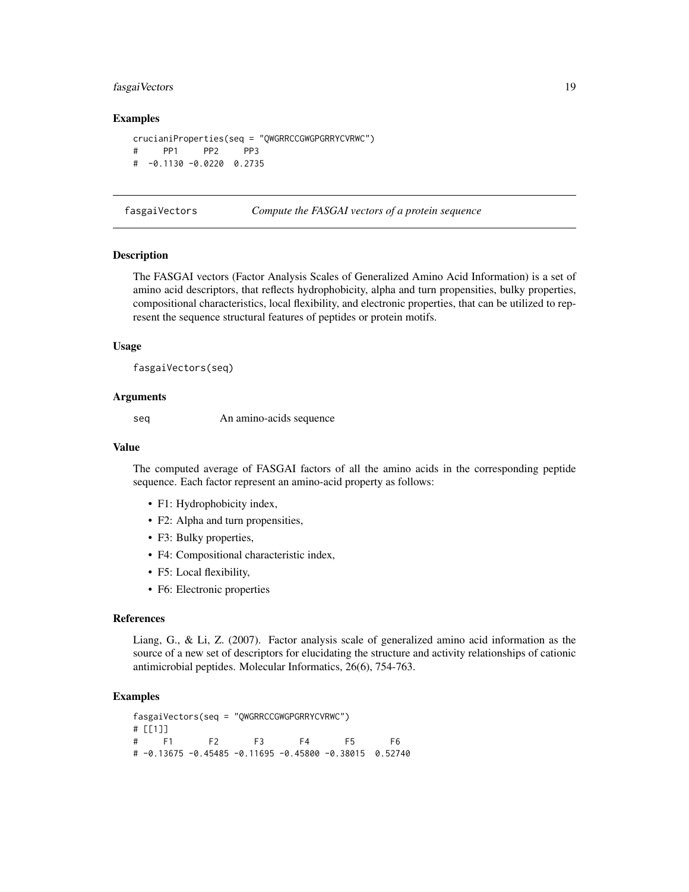# <span id="page-18-0"></span>fasgaiVectors 19

#### Examples

```
crucianiProperties(seq = "QWGRRCCGWGPGRRYCVRWC")
# PP1 PP2 PP3
# -0.1130 -0.0220 0.2735
```
fasgaiVectors *Compute the FASGAI vectors of a protein sequence*

#### **Description**

The FASGAI vectors (Factor Analysis Scales of Generalized Amino Acid Information) is a set of amino acid descriptors, that reflects hydrophobicity, alpha and turn propensities, bulky properties, compositional characteristics, local flexibility, and electronic properties, that can be utilized to represent the sequence structural features of peptides or protein motifs.

# Usage

fasgaiVectors(seq)

#### Arguments

seq An amino-acids sequence

#### Value

The computed average of FASGAI factors of all the amino acids in the corresponding peptide sequence. Each factor represent an amino-acid property as follows:

- F1: Hydrophobicity index,
- F2: Alpha and turn propensities,
- F3: Bulky properties,
- F4: Compositional characteristic index,
- F5: Local flexibility,
- F6: Electronic properties

# References

Liang, G., & Li, Z. (2007). Factor analysis scale of generalized amino acid information as the source of a new set of descriptors for elucidating the structure and activity relationships of cationic antimicrobial peptides. Molecular Informatics, 26(6), 754-763.

#### Examples

fasgaiVectors(seq = "QWGRRCCGWGPGRRYCVRWC") # [[1]] # F1 F2 F3 F4 F5 F6 # -0.13675 -0.45485 -0.11695 -0.45800 -0.38015 0.52740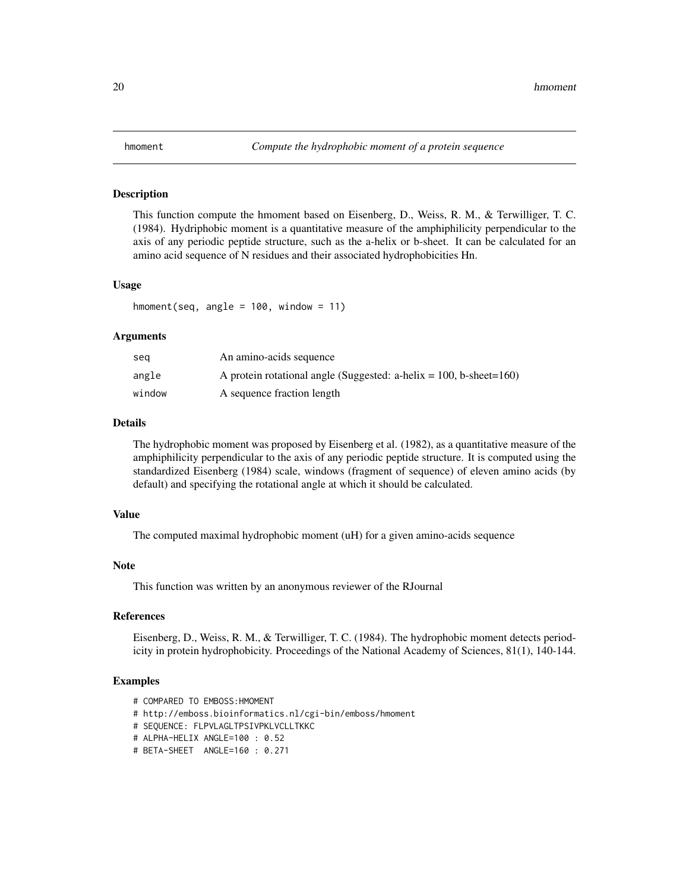#### <span id="page-19-0"></span>Description

This function compute the hmoment based on Eisenberg, D., Weiss, R. M., & Terwilliger, T. C. (1984). Hydriphobic moment is a quantitative measure of the amphiphilicity perpendicular to the axis of any periodic peptide structure, such as the a-helix or b-sheet. It can be calculated for an amino acid sequence of N residues and their associated hydrophobicities Hn.

#### Usage

hmoment(seq, angle =  $100$ , window =  $11$ )

#### Arguments

| sea    | An amino-acids sequence                                                   |
|--------|---------------------------------------------------------------------------|
| angle  | A protein rotational angle (Suggested: a-helix = $100$ , b-sheet= $160$ ) |
| window | A sequence fraction length                                                |

# Details

The hydrophobic moment was proposed by Eisenberg et al. (1982), as a quantitative measure of the amphiphilicity perpendicular to the axis of any periodic peptide structure. It is computed using the standardized Eisenberg (1984) scale, windows (fragment of sequence) of eleven amino acids (by default) and specifying the rotational angle at which it should be calculated.

#### Value

The computed maximal hydrophobic moment (uH) for a given amino-acids sequence

#### Note

This function was written by an anonymous reviewer of the RJournal

#### References

Eisenberg, D., Weiss, R. M., & Terwilliger, T. C. (1984). The hydrophobic moment detects periodicity in protein hydrophobicity. Proceedings of the National Academy of Sciences, 81(1), 140-144.

- # COMPARED TO EMBOSS:HMOMENT
- # http://emboss.bioinformatics.nl/cgi-bin/emboss/hmoment
- # SEQUENCE: FLPVLAGLTPSIVPKLVCLLTKKC
- # ALPHA-HELIX ANGLE=100 : 0.52
- # BETA-SHEET ANGLE=160 : 0.271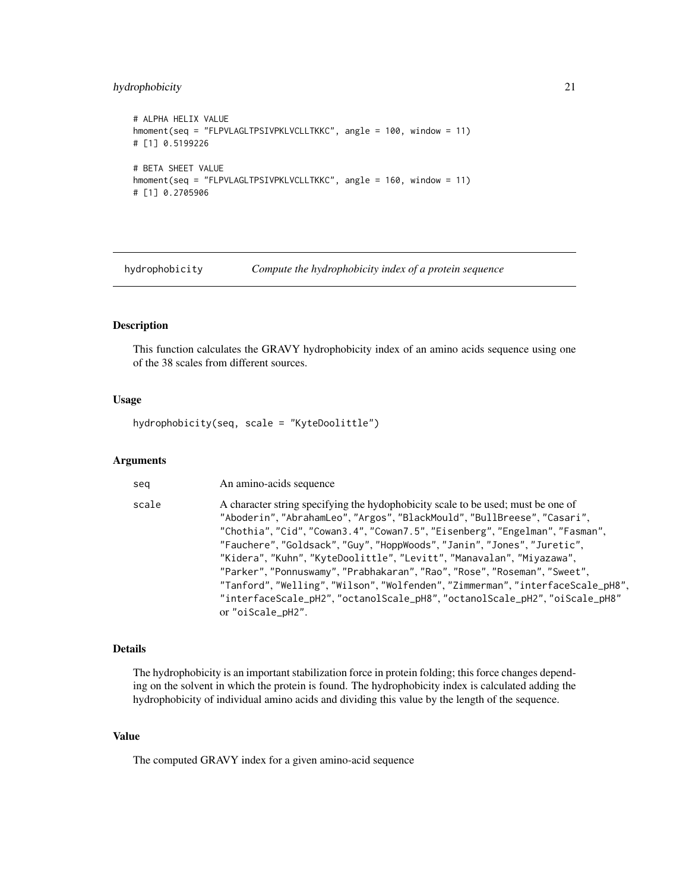#### <span id="page-20-0"></span>hydrophobicity 21

```
# ALPHA HELIX VALUE
hmoment(seq = "FLPVLAGLTPSIVPKLVCLLTKKC", angle = 100, window = 11)
# [1] 0.5199226
# BETA SHEET VALUE
hmoment(seq = "FLPVLAGLTPSIVPKLVCLLTKKC", angle = 160, window = 11)
# [1] 0.2705906
```
hydrophobicity *Compute the hydrophobicity index of a protein sequence*

#### Description

This function calculates the GRAVY hydrophobicity index of an amino acids sequence using one of the 38 scales from different sources.

#### Usage

hydrophobicity(seq, scale = "KyteDoolittle")

#### Arguments

seq An amino-acids sequence

scale A character string specifying the hydophobicity scale to be used; must be one of "Aboderin", "AbrahamLeo", "Argos", "BlackMould", "BullBreese", "Casari", "Chothia", "Cid", "Cowan3.4", "Cowan7.5", "Eisenberg", "Engelman", "Fasman", "Fauchere", "Goldsack", "Guy", "HoppWoods", "Janin", "Jones", "Juretic", "Kidera", "Kuhn", "KyteDoolittle", "Levitt", "Manavalan", "Miyazawa", "Parker", "Ponnuswamy", "Prabhakaran", "Rao", "Rose", "Roseman", "Sweet", "Tanford", "Welling", "Wilson", "Wolfenden", "Zimmerman", "interfaceScale\_pH8", "interfaceScale\_pH2", "octanolScale\_pH8", "octanolScale\_pH2", "oiScale\_pH8" or "oiScale\_pH2".

# Details

The hydrophobicity is an important stabilization force in protein folding; this force changes depending on the solvent in which the protein is found. The hydrophobicity index is calculated adding the hydrophobicity of individual amino acids and dividing this value by the length of the sequence.

# Value

The computed GRAVY index for a given amino-acid sequence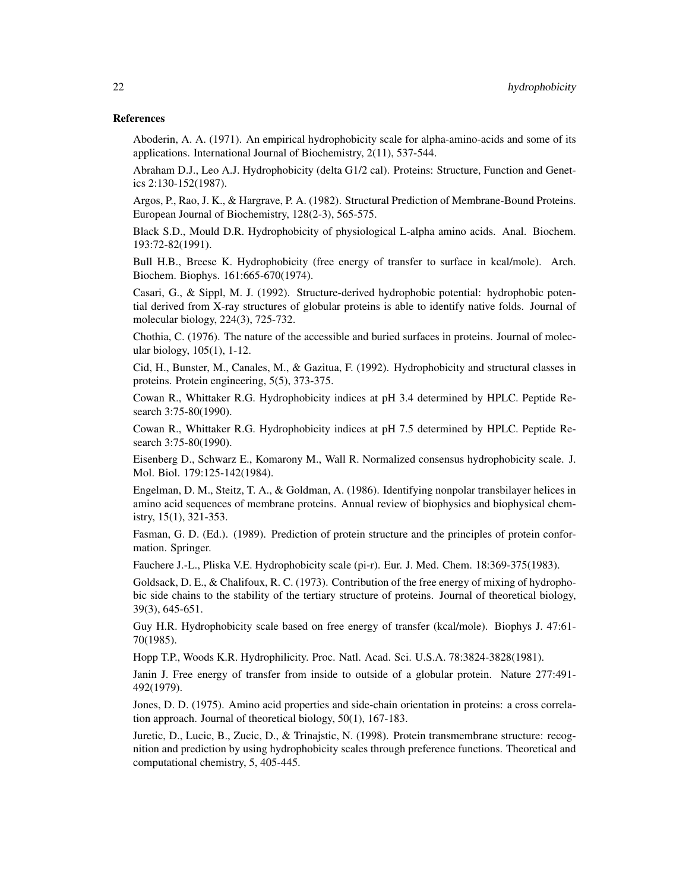#### References

Aboderin, A. A. (1971). An empirical hydrophobicity scale for alpha-amino-acids and some of its applications. International Journal of Biochemistry, 2(11), 537-544.

Abraham D.J., Leo A.J. Hydrophobicity (delta G1/2 cal). Proteins: Structure, Function and Genetics 2:130-152(1987).

Argos, P., Rao, J. K., & Hargrave, P. A. (1982). Structural Prediction of Membrane-Bound Proteins. European Journal of Biochemistry, 128(2-3), 565-575.

Black S.D., Mould D.R. Hydrophobicity of physiological L-alpha amino acids. Anal. Biochem. 193:72-82(1991).

Bull H.B., Breese K. Hydrophobicity (free energy of transfer to surface in kcal/mole). Arch. Biochem. Biophys. 161:665-670(1974).

Casari, G., & Sippl, M. J. (1992). Structure-derived hydrophobic potential: hydrophobic potential derived from X-ray structures of globular proteins is able to identify native folds. Journal of molecular biology, 224(3), 725-732.

Chothia, C. (1976). The nature of the accessible and buried surfaces in proteins. Journal of molecular biology, 105(1), 1-12.

Cid, H., Bunster, M., Canales, M., & Gazitua, F. (1992). Hydrophobicity and structural classes in proteins. Protein engineering, 5(5), 373-375.

Cowan R., Whittaker R.G. Hydrophobicity indices at pH 3.4 determined by HPLC. Peptide Research 3:75-80(1990).

Cowan R., Whittaker R.G. Hydrophobicity indices at pH 7.5 determined by HPLC. Peptide Research 3:75-80(1990).

Eisenberg D., Schwarz E., Komarony M., Wall R. Normalized consensus hydrophobicity scale. J. Mol. Biol. 179:125-142(1984).

Engelman, D. M., Steitz, T. A., & Goldman, A. (1986). Identifying nonpolar transbilayer helices in amino acid sequences of membrane proteins. Annual review of biophysics and biophysical chemistry, 15(1), 321-353.

Fasman, G. D. (Ed.). (1989). Prediction of protein structure and the principles of protein conformation. Springer.

Fauchere J.-L., Pliska V.E. Hydrophobicity scale (pi-r). Eur. J. Med. Chem. 18:369-375(1983).

Goldsack, D. E., & Chalifoux, R. C. (1973). Contribution of the free energy of mixing of hydrophobic side chains to the stability of the tertiary structure of proteins. Journal of theoretical biology, 39(3), 645-651.

Guy H.R. Hydrophobicity scale based on free energy of transfer (kcal/mole). Biophys J. 47:61- 70(1985).

Hopp T.P., Woods K.R. Hydrophilicity. Proc. Natl. Acad. Sci. U.S.A. 78:3824-3828(1981).

Janin J. Free energy of transfer from inside to outside of a globular protein. Nature 277:491- 492(1979).

Jones, D. D. (1975). Amino acid properties and side-chain orientation in proteins: a cross correlation approach. Journal of theoretical biology, 50(1), 167-183.

Juretic, D., Lucic, B., Zucic, D., & Trinajstic, N. (1998). Protein transmembrane structure: recognition and prediction by using hydrophobicity scales through preference functions. Theoretical and computational chemistry, 5, 405-445.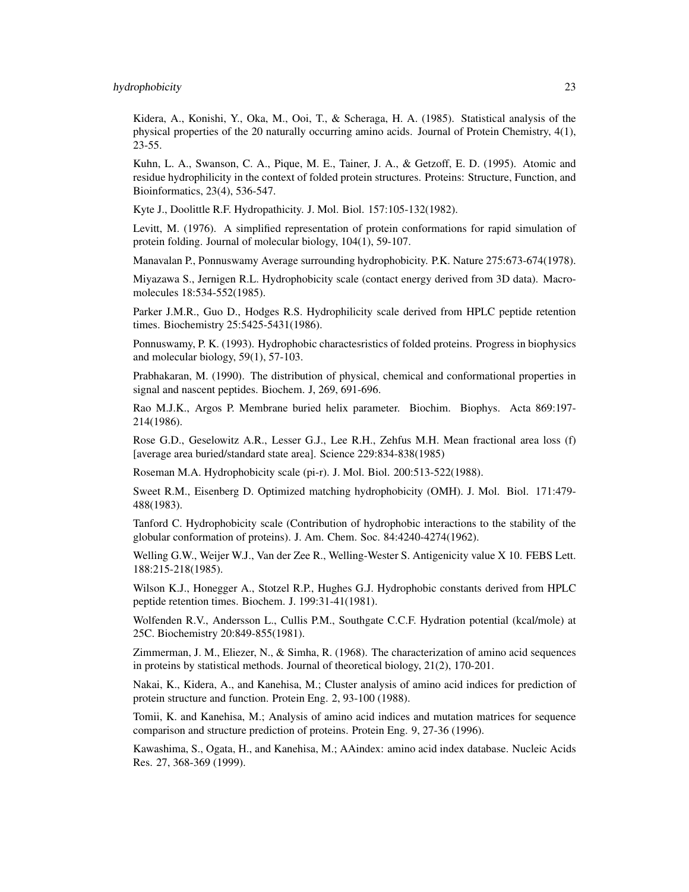Kidera, A., Konishi, Y., Oka, M., Ooi, T., & Scheraga, H. A. (1985). Statistical analysis of the physical properties of the 20 naturally occurring amino acids. Journal of Protein Chemistry, 4(1),  $23 - 55$ .

Kuhn, L. A., Swanson, C. A., Pique, M. E., Tainer, J. A., & Getzoff, E. D. (1995). Atomic and residue hydrophilicity in the context of folded protein structures. Proteins: Structure, Function, and Bioinformatics, 23(4), 536-547.

Kyte J., Doolittle R.F. Hydropathicity. J. Mol. Biol. 157:105-132(1982).

Levitt, M. (1976). A simplified representation of protein conformations for rapid simulation of protein folding. Journal of molecular biology, 104(1), 59-107.

Manavalan P., Ponnuswamy Average surrounding hydrophobicity. P.K. Nature 275:673-674(1978).

Miyazawa S., Jernigen R.L. Hydrophobicity scale (contact energy derived from 3D data). Macromolecules 18:534-552(1985).

Parker J.M.R., Guo D., Hodges R.S. Hydrophilicity scale derived from HPLC peptide retention times. Biochemistry 25:5425-5431(1986).

Ponnuswamy, P. K. (1993). Hydrophobic charactesristics of folded proteins. Progress in biophysics and molecular biology, 59(1), 57-103.

Prabhakaran, M. (1990). The distribution of physical, chemical and conformational properties in signal and nascent peptides. Biochem. J, 269, 691-696.

Rao M.J.K., Argos P. Membrane buried helix parameter. Biochim. Biophys. Acta 869:197- 214(1986).

Rose G.D., Geselowitz A.R., Lesser G.J., Lee R.H., Zehfus M.H. Mean fractional area loss (f) [average area buried/standard state area]. Science 229:834-838(1985)

Roseman M.A. Hydrophobicity scale (pi-r). J. Mol. Biol. 200:513-522(1988).

Sweet R.M., Eisenberg D. Optimized matching hydrophobicity (OMH). J. Mol. Biol. 171:479- 488(1983).

Tanford C. Hydrophobicity scale (Contribution of hydrophobic interactions to the stability of the globular conformation of proteins). J. Am. Chem. Soc. 84:4240-4274(1962).

Welling G.W., Weijer W.J., Van der Zee R., Welling-Wester S. Antigenicity value X 10. FEBS Lett. 188:215-218(1985).

Wilson K.J., Honegger A., Stotzel R.P., Hughes G.J. Hydrophobic constants derived from HPLC peptide retention times. Biochem. J. 199:31-41(1981).

Wolfenden R.V., Andersson L., Cullis P.M., Southgate C.C.F. Hydration potential (kcal/mole) at 25C. Biochemistry 20:849-855(1981).

Zimmerman, J. M., Eliezer, N., & Simha, R. (1968). The characterization of amino acid sequences in proteins by statistical methods. Journal of theoretical biology, 21(2), 170-201.

Nakai, K., Kidera, A., and Kanehisa, M.; Cluster analysis of amino acid indices for prediction of protein structure and function. Protein Eng. 2, 93-100 (1988).

Tomii, K. and Kanehisa, M.; Analysis of amino acid indices and mutation matrices for sequence comparison and structure prediction of proteins. Protein Eng. 9, 27-36 (1996).

Kawashima, S., Ogata, H., and Kanehisa, M.; AAindex: amino acid index database. Nucleic Acids Res. 27, 368-369 (1999).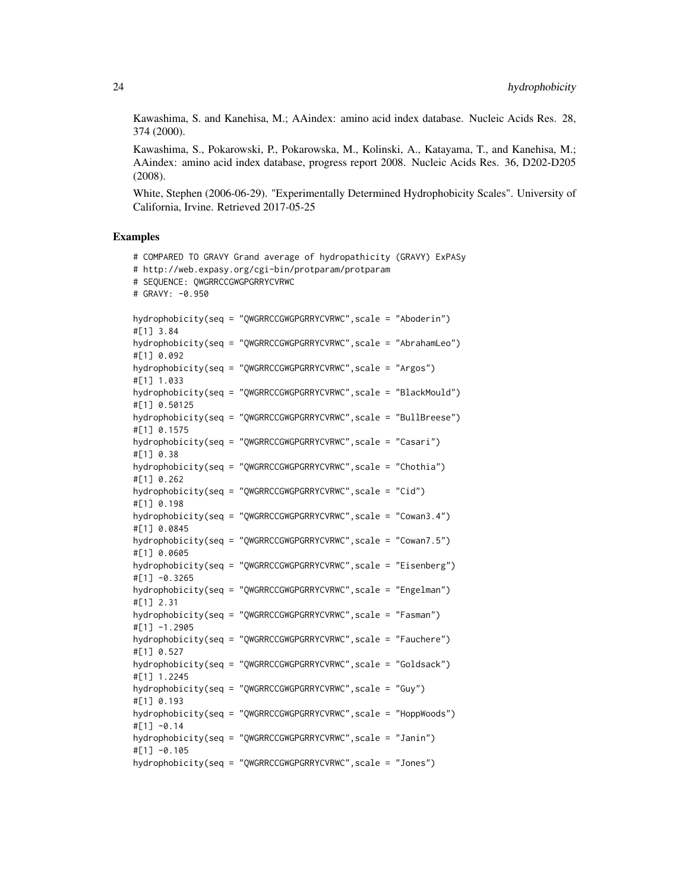Kawashima, S. and Kanehisa, M.; AAindex: amino acid index database. Nucleic Acids Res. 28, 374 (2000).

Kawashima, S., Pokarowski, P., Pokarowska, M., Kolinski, A., Katayama, T., and Kanehisa, M.; AAindex: amino acid index database, progress report 2008. Nucleic Acids Res. 36, D202-D205 (2008).

White, Stephen (2006-06-29). "Experimentally Determined Hydrophobicity Scales". University of California, Irvine. Retrieved 2017-05-25

```
# COMPARED TO GRAVY Grand average of hydropathicity (GRAVY) ExPASy
# http://web.expasy.org/cgi-bin/protparam/protparam
# SEQUENCE: QWGRRCCGWGPGRRYCVRWC
# GRAVY: -0.950
hydrophobicity(seq = "QWGRRCCGWGPGRRYCVRWC",scale = "Aboderin")
#[1] 3.84
hydrophobicity(seq = "QWGRRCCGWGPGRRYCVRWC",scale = "AbrahamLeo")
#[1] 0.092
hydrophobicity(seq = "QWGRRCCGWGPGRRYCVRWC",scale = "Argos")
#[1] 1.033
hydrophobicity(seq = "QWGRRCCGWGPGRRYCVRWC",scale = "BlackMould")
#[1] 0.50125
hydrophobicity(seq = "QWGRRCCGWGPGRRYCVRWC",scale = "BullBreese")
#[1] 0.1575
hydrophobicity(seq = "QWGRRCCGWGPGRRYCVRWC",scale = "Casari")
#[1] 0.38
hydrophobicity(seq = "QWGRRCCGWGPGRRYCVRWC",scale = "Chothia")
#[1] 0.262
hydrophobicity(seq = "QWGRRCCGWGPGRRYCVRWC",scale = "Cid")
#[1] 0.198
hydrophobicity(seq = "QWGRRCCGWGPGRRYCVRWC",scale = "Cowan3.4")
#[1] 0.0845
hydrophobicity(seq = "QWGRRCCGWGPGRRYCVRWC",scale = "Cowan7.5")
#[1] 0.0605
hydrophobicity(seq = "QWGRRCCGWGPGRRYCVRWC",scale = "Eisenberg")
#[1] -0.3265
hydrophobicity(seq = "QWGRRCCGWGPGRRYCVRWC",scale = "Engelman")
#[1] 2.31
hydrophobicity(seq = "QWGRRCCGWGPGRRYCVRWC",scale = "Fasman")
#[1] -1.2905
hydrophobicity(seq = "QWGRRCCGWGPGRRYCVRWC",scale = "Fauchere")
#[1] 0.527
hydrophobicity(seq = "QWGRRCCGWGPGRRYCVRWC",scale = "Goldsack")
#[1] 1.2245
hydrophobicity(seq = "QWGRRCCGWGPGRRYCVRWC",scale = "Guy")
#[1] 0.193
hydrophobicity(seq = "QWGRRCCGWGPGRRYCVRWC",scale = "HoppWoods")
#[1] -0.14
hydrophobicity(seq = "QWGRRCCGWGPGRRYCVRWC",scale = "Janin")
#[1] -0.105
hydrophobicity(seq = "QWGRRCCGWGPGRRYCVRWC",scale = "Jones")
```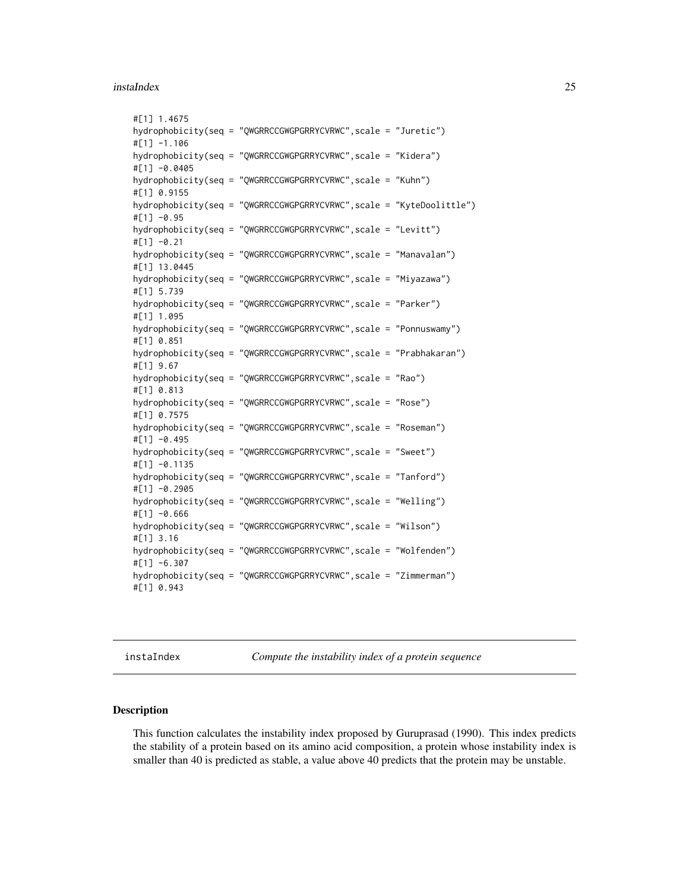#### <span id="page-24-0"></span>instaIndex 25

```
#[1] 1.4675
hydrophobicity(seq = "QWGRRCCGWGPGRRYCVRWC",scale = "Juretic")
#[1] -1.106
hydrophobicity(seq = "QWGRRCCGWGPGRRYCVRWC",scale = "Kidera")
#[1] -0.0405
hydrophobicity(seq = "QWGRRCCGWGPGRRYCVRWC",scale = "Kuhn")
#[1] 0.9155
hydrophobicity(seq = "QWGRRCCGWGPGRRYCVRWC",scale = "KyteDoolittle")
#[1] -0.95
hydrophobicity(seq = "QWGRRCCGWGPGRRYCVRWC",scale = "Levitt")
#[1] -0.21
hydrophobicity(seq = "QWGRRCCGWGPGRRYCVRWC",scale = "Manavalan")
#[1] 13.0445
hydrophobicity(seq = "QWGRRCCGWGPGRRYCVRWC",scale = "Miyazawa")
#[1] 5.739
hydrophobicity(seq = "QWGRRCCGWGPGRRYCVRWC",scale = "Parker")
#[1] 1.095
hydrophobicity(seq = "QWGRRCCGWGPGRRYCVRWC",scale = "Ponnuswamy")
#[1] 0.851
hydrophobicity(seq = "QWGRRCCGWGPGRRYCVRWC",scale = "Prabhakaran")
#[1] 9.67
hydrophobicity(seq = "QWGRRCCGWGPGRRYCVRWC",scale = "Rao")
#[1] 0.813
hydrophobicity(seq = "QWGRRCCGWGPGRRYCVRWC",scale = "Rose")
#[1] 0.7575
hydrophobicity(seq = "QWGRRCCGWGPGRRYCVRWC",scale = "Roseman")
#[1] -0.495
hydrophobicity(seq = "QWGRRCCGWGPGRRYCVRWC",scale = "Sweet")
#[1] -0.1135
hydrophobicity(seq = "QWGRRCCGWGPGRRYCVRWC",scale = "Tanford")
#[1] -0.2905
hydrophobicity(seq = "QWGRRCCGWGPGRRYCVRWC",scale = "Welling")
#[1] -0.666
hydrophobicity(seq = "QWGRRCCGWGPGRRYCVRWC",scale = "Wilson")
#[1] 3.16
hydrophobicity(seq = "QWGRRCCGWGPGRRYCVRWC",scale = "Wolfenden")
#[1] -6.307
hydrophobicity(seq = "QWGRRCCGWGPGRRYCVRWC",scale = "Zimmerman")
#[1] 0.943
```
instaIndex *Compute the instability index of a protein sequence*

#### Description

This function calculates the instability index proposed by Guruprasad (1990). This index predicts the stability of a protein based on its amino acid composition, a protein whose instability index is smaller than 40 is predicted as stable, a value above 40 predicts that the protein may be unstable.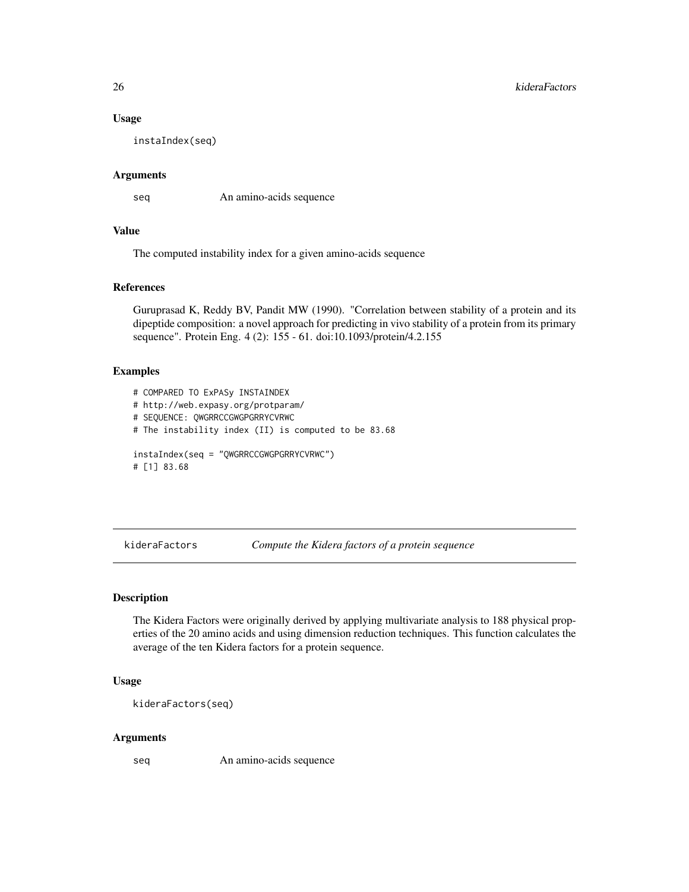#### Usage

instaIndex(seq)

#### Arguments

seq An amino-acids sequence

# Value

The computed instability index for a given amino-acids sequence

#### References

Guruprasad K, Reddy BV, Pandit MW (1990). "Correlation between stability of a protein and its dipeptide composition: a novel approach for predicting in vivo stability of a protein from its primary sequence". Protein Eng. 4 (2): 155 - 61. doi:10.1093/protein/4.2.155

# Examples

```
# COMPARED TO ExPASy INSTAINDEX
# http://web.expasy.org/protparam/
# SEQUENCE: QWGRRCCGWGPGRRYCVRWC
# The instability index (II) is computed to be 83.68
instaIndex(seq = "QWGRRCCGWGPGRRYCVRWC")
# [1] 83.68
```
kideraFactors *Compute the Kidera factors of a protein sequence*

#### Description

The Kidera Factors were originally derived by applying multivariate analysis to 188 physical properties of the 20 amino acids and using dimension reduction techniques. This function calculates the average of the ten Kidera factors for a protein sequence.

#### Usage

kideraFactors(seq)

# Arguments

seq An amino-acids sequence

<span id="page-25-0"></span>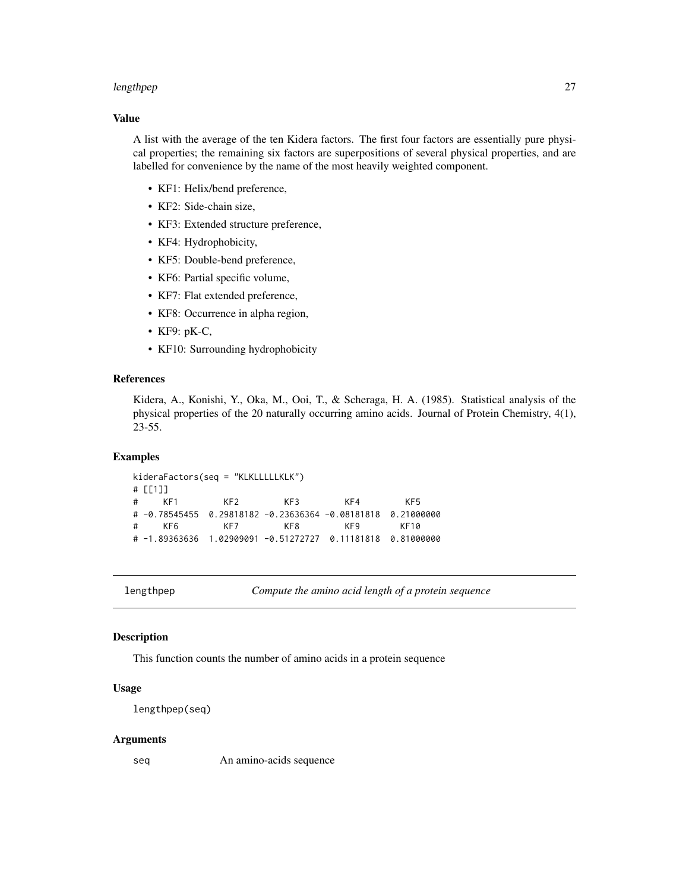#### <span id="page-26-0"></span>lengthpep 27

# Value

A list with the average of the ten Kidera factors. The first four factors are essentially pure physical properties; the remaining six factors are superpositions of several physical properties, and are labelled for convenience by the name of the most heavily weighted component.

- KF1: Helix/bend preference,
- KF2: Side-chain size,
- KF3: Extended structure preference,
- KF4: Hydrophobicity,
- KF5: Double-bend preference,
- KF6: Partial specific volume,
- KF7: Flat extended preference,
- KF8: Occurrence in alpha region,
- KF9: pK-C,
- KF10: Surrounding hydrophobicity

# References

Kidera, A., Konishi, Y., Oka, M., Ooi, T., & Scheraga, H. A. (1985). Statistical analysis of the physical properties of the 20 naturally occurring amino acids. Journal of Protein Chemistry, 4(1), 23-55.

#### Examples

```
kideraFactors(seq = "KLKLLLLLKLK")
# [[1]]
# KF1 KF2 KF3 KF4 KF5
# -0.78545455 0.29818182 -0.23636364 -0.08181818 0.21000000
# KF6 KF7 KF8 KF9 KF10
# -1.89363636 1.02909091 -0.51272727 0.11181818 0.81000000
```
lengthpep *Compute the amino acid length of a protein sequence*

# Description

This function counts the number of amino acids in a protein sequence

#### Usage

```
lengthpep(seq)
```
#### Arguments

seq An amino-acids sequence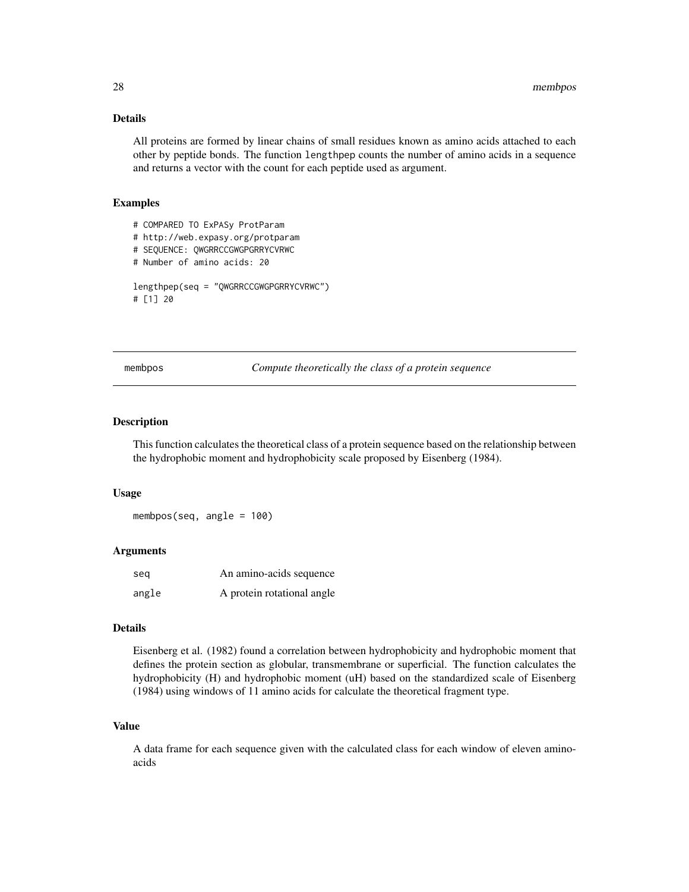# <span id="page-27-0"></span>Details

All proteins are formed by linear chains of small residues known as amino acids attached to each other by peptide bonds. The function lengthpep counts the number of amino acids in a sequence and returns a vector with the count for each peptide used as argument.

# Examples

```
# COMPARED TO ExPASy ProtParam
# http://web.expasy.org/protparam
# SEQUENCE: QWGRRCCGWGPGRRYCVRWC
# Number of amino acids: 20
lengthpep(seq = "QWGRRCCGWGPGRRYCVRWC")
# [1] 20
```
membpos *Compute theoretically the class of a protein sequence*

# **Description**

This function calculates the theoretical class of a protein sequence based on the relationship between the hydrophobic moment and hydrophobicity scale proposed by Eisenberg (1984).

#### Usage

membpos(seq, angle = 100)

# Arguments

| sea   | An amino-acids sequence    |
|-------|----------------------------|
| angle | A protein rotational angle |

# Details

Eisenberg et al. (1982) found a correlation between hydrophobicity and hydrophobic moment that defines the protein section as globular, transmembrane or superficial. The function calculates the hydrophobicity (H) and hydrophobic moment (uH) based on the standardized scale of Eisenberg (1984) using windows of 11 amino acids for calculate the theoretical fragment type.

# Value

A data frame for each sequence given with the calculated class for each window of eleven aminoacids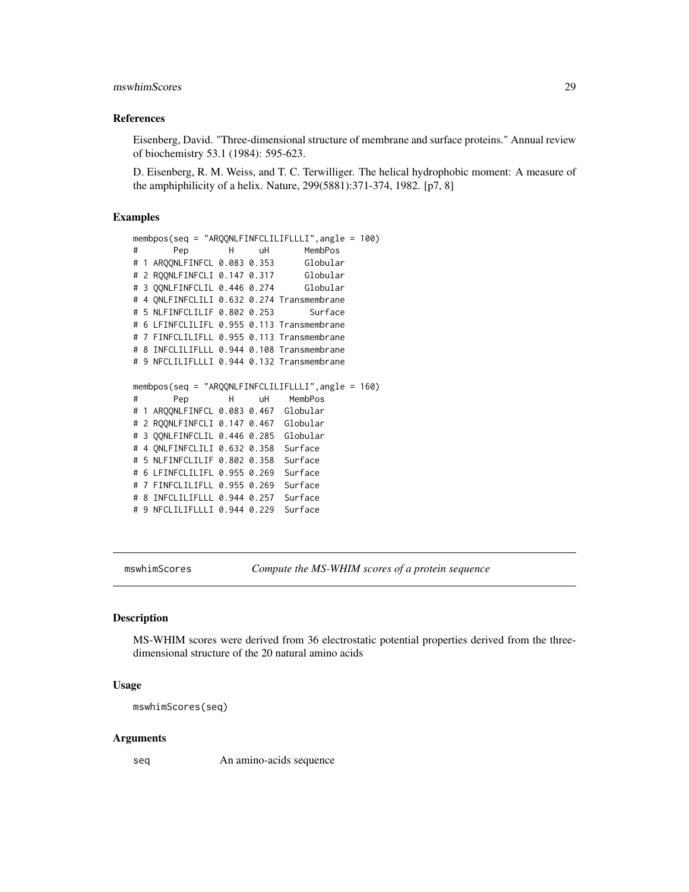# <span id="page-28-0"></span>mswhimScores 29

#### References

Eisenberg, David. "Three-dimensional structure of membrane and surface proteins." Annual review of biochemistry 53.1 (1984): 595-623.

D. Eisenberg, R. M. Weiss, and T. C. Terwilliger. The helical hydrophobic moment: A measure of the amphiphilicity of a helix. Nature, 299(5881):371-374, 1982. [p7, 8]

## Examples

```
membpos(seq = "ARQQNLFINFCLILIFLLLI",angle = 100)
# Pep H uH MembPos
# 1 ARQQNLFINFCL 0.083 0.353
# 2 RQQNLFINFCLI 0.147 0.317 Globular
# 3 QQNLFINFCLIL 0.446 0.274 Globular
# 4 QNLFINFCLILI 0.632 0.274 Transmembrane
# 5 NLFINFCLILIF 0.802 0.253 Surface
# 6 LFINFCLILIFL 0.955 0.113 Transmembrane
# 7 FINFCLILIFLL 0.955 0.113 Transmembrane
# 8 INFCLILIFLLL 0.944 0.108 Transmembrane
# 9 NFCLILIFLLLI 0.944 0.132 Transmembrane
membpos(seq = "ARQQNLFINFCLILIFLLLI",angle = 160)
# Pep H uH MembPos
# 1 ARQQNLFINFCL 0.083 0.467 Globular
# 2 RQQNLFINFCLI 0.147 0.467 Globular
# 3 QQNLFINFCLIL 0.446 0.285 Globular
# 4 QNLFINFCLILI 0.632 0.358 Surface
# 5 NLFINFCLILIF 0.802 0.358 Surface
# 6 LFINFCLILIFL 0.955 0.269 Surface
# 7 FINFCLILIFLL 0.955 0.269 Surface
# 8 INFCLILIFLLL 0.944 0.257 Surface
# 9 NFCLILIFLLLI 0.944 0.229 Surface
```
mswhimScores *Compute the MS-WHIM scores of a protein sequence*

#### Description

MS-WHIM scores were derived from 36 electrostatic potential properties derived from the threedimensional structure of the 20 natural amino acids

#### Usage

mswhimScores(seq)

#### Arguments

seq An amino-acids sequence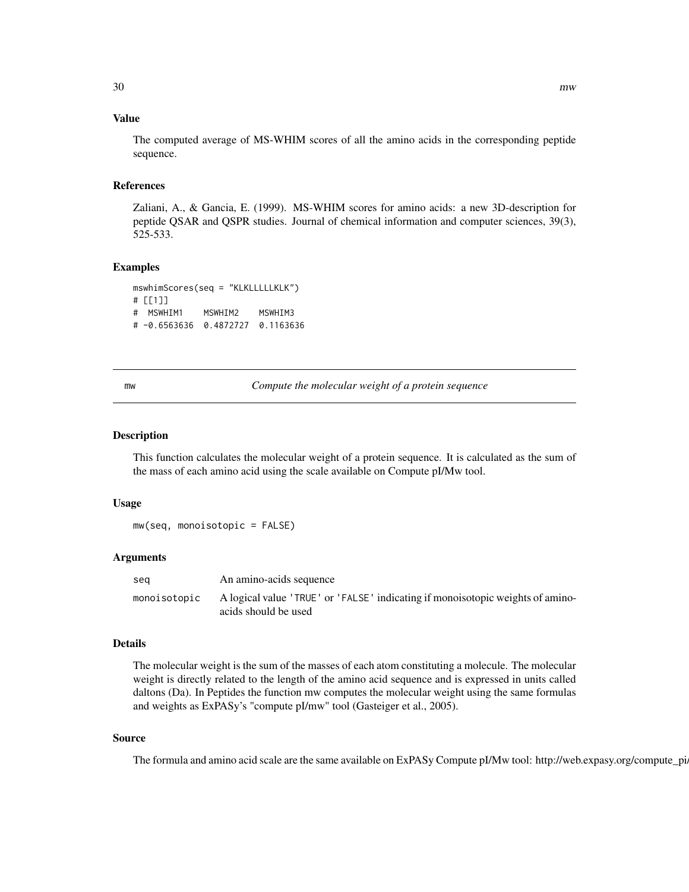# <span id="page-29-0"></span>Value

The computed average of MS-WHIM scores of all the amino acids in the corresponding peptide sequence.

# References

Zaliani, A., & Gancia, E. (1999). MS-WHIM scores for amino acids: a new 3D-description for peptide QSAR and QSPR studies. Journal of chemical information and computer sciences, 39(3), 525-533.

#### Examples

mswhimScores(seq = "KLKLLLLLKLK") # [[1]] # MSWHIM1 MSWHIM2 MSWHIM3 # -0.6563636 0.4872727 0.1163636

mw *Compute the molecular weight of a protein sequence*

#### **Description**

This function calculates the molecular weight of a protein sequence. It is calculated as the sum of the mass of each amino acid using the scale available on Compute pI/Mw tool.

#### Usage

```
mw(seq, monoisotopic = FALSE)
```
#### Arguments

| sea          | An amino-acids sequence                                                                                |
|--------------|--------------------------------------------------------------------------------------------------------|
| monoisotopic | A logical value 'TRUE' or 'FALSE' indicating if monoisotopic weights of amino-<br>acids should be used |

# Details

The molecular weight is the sum of the masses of each atom constituting a molecule. The molecular weight is directly related to the length of the amino acid sequence and is expressed in units called daltons (Da). In Peptides the function mw computes the molecular weight using the same formulas and weights as ExPASy's "compute pI/mw" tool (Gasteiger et al., 2005).

# Source

The formula and amino acid scale are the same available on ExPASy Compute pI/Mw tool: http://web.expasy.org/compute\_pi/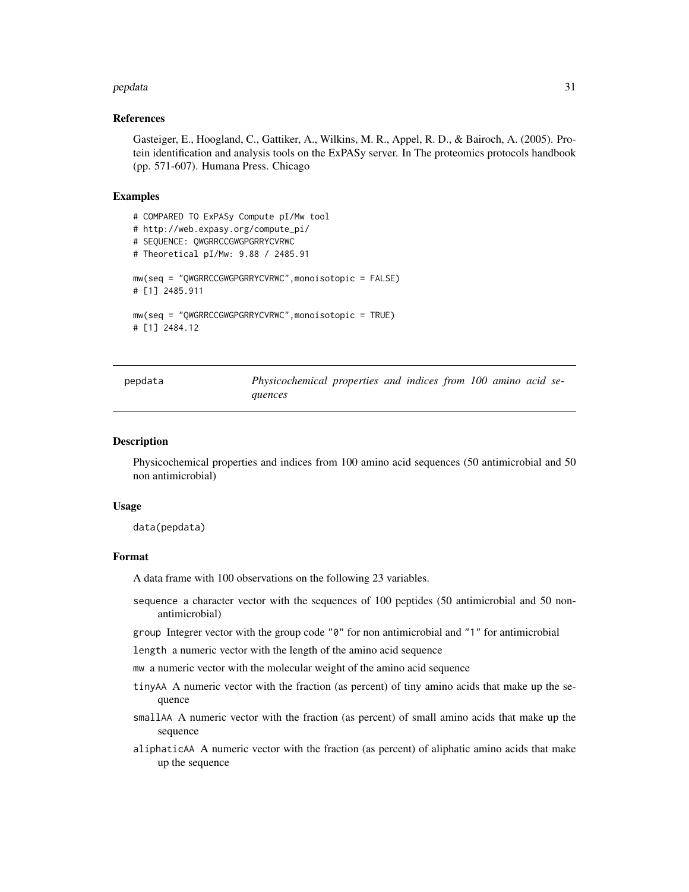#### <span id="page-30-0"></span>pepdata 31

#### References

Gasteiger, E., Hoogland, C., Gattiker, A., Wilkins, M. R., Appel, R. D., & Bairoch, A. (2005). Protein identification and analysis tools on the ExPASy server. In The proteomics protocols handbook (pp. 571-607). Humana Press. Chicago

#### Examples

```
# COMPARED TO ExPASy Compute pI/Mw tool
# http://web.expasy.org/compute_pi/
# SEQUENCE: QWGRRCCGWGPGRRYCVRWC
# Theoretical pI/Mw: 9.88 / 2485.91
mw(seq = "QWGRRCCGWGPGRRYCVRWC",monoisotopic = FALSE)
# [1] 2485.911
mw(seq = "QWGRRCCGWGPGRRYCVRWC",monoisotopic = TRUE)
# [1] 2484.12
```
pepdata *Physicochemical properties and indices from 100 amino acid sequences*

#### Description

Physicochemical properties and indices from 100 amino acid sequences (50 antimicrobial and 50 non antimicrobial)

#### Usage

data(pepdata)

# Format

A data frame with 100 observations on the following 23 variables.

sequence a character vector with the sequences of 100 peptides (50 antimicrobial and 50 nonantimicrobial)

group Integrer vector with the group code "0" for non antimicrobial and "1" for antimicrobial

length a numeric vector with the length of the amino acid sequence

mw a numeric vector with the molecular weight of the amino acid sequence

- tinyAA A numeric vector with the fraction (as percent) of tiny amino acids that make up the sequence
- smallAA A numeric vector with the fraction (as percent) of small amino acids that make up the sequence
- aliphaticAA A numeric vector with the fraction (as percent) of aliphatic amino acids that make up the sequence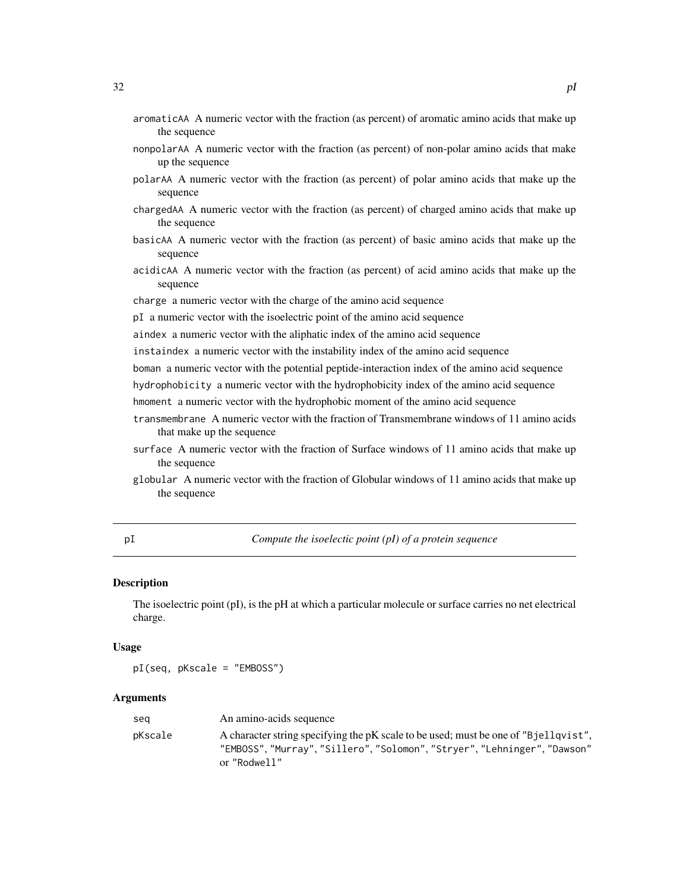- <span id="page-31-0"></span>aromaticAA A numeric vector with the fraction (as percent) of aromatic amino acids that make up the sequence
- nonpolarAA A numeric vector with the fraction (as percent) of non-polar amino acids that make up the sequence
- polarAA A numeric vector with the fraction (as percent) of polar amino acids that make up the sequence
- chargedAA A numeric vector with the fraction (as percent) of charged amino acids that make up the sequence
- basicAA A numeric vector with the fraction (as percent) of basic amino acids that make up the sequence
- acidicAA A numeric vector with the fraction (as percent) of acid amino acids that make up the sequence
- charge a numeric vector with the charge of the amino acid sequence
- pI a numeric vector with the isoelectric point of the amino acid sequence
- aindex a numeric vector with the aliphatic index of the amino acid sequence
- instaindex a numeric vector with the instability index of the amino acid sequence
- boman a numeric vector with the potential peptide-interaction index of the amino acid sequence
- hydrophobicity a numeric vector with the hydrophobicity index of the amino acid sequence
- hmoment a numeric vector with the hydrophobic moment of the amino acid sequence
- transmembrane A numeric vector with the fraction of Transmembrane windows of 11 amino acids that make up the sequence
- surface A numeric vector with the fraction of Surface windows of 11 amino acids that make up the sequence
- globular A numeric vector with the fraction of Globular windows of 11 amino acids that make up the sequence

pI *Compute the isoelectic point (pI) of a protein sequence*

# **Description**

The isoelectric point (pI), is the pH at which a particular molecule or surface carries no net electrical charge.

#### Usage

pI(seq, pKscale = "EMBOSS")

#### Arguments

| sea     | An amino-acids sequence                                                                                                                                                     |
|---------|-----------------------------------------------------------------------------------------------------------------------------------------------------------------------------|
| pKscale | A character string specifying the pK scale to be used; must be one of "B jellqvist".<br>"EMBOSS","Murray","Sillero","Solomon","Stryer","Lehninger","Dawson"<br>or "Rodwell" |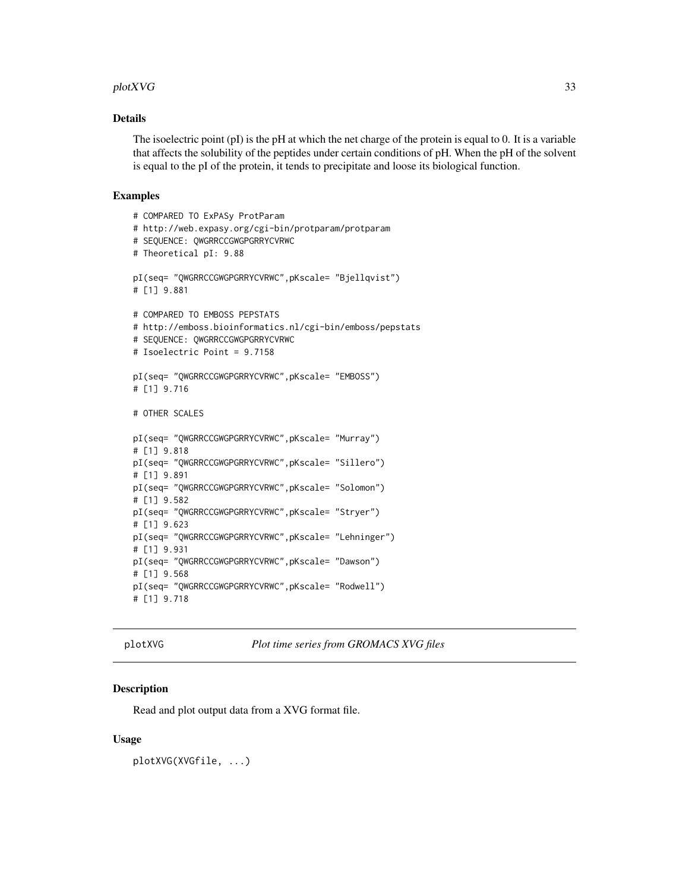#### <span id="page-32-0"></span>plotXVG 33

# Details

The isoelectric point (pI) is the pH at which the net charge of the protein is equal to 0. It is a variable that affects the solubility of the peptides under certain conditions of pH. When the pH of the solvent is equal to the pI of the protein, it tends to precipitate and loose its biological function.

#### Examples

```
# COMPARED TO ExPASy ProtParam
# http://web.expasy.org/cgi-bin/protparam/protparam
# SEQUENCE: QWGRRCCGWGPGRRYCVRWC
# Theoretical pI: 9.88
pI(seq= "QWGRRCCGWGPGRRYCVRWC",pKscale= "Bjellqvist")
# [1] 9.881
# COMPARED TO EMBOSS PEPSTATS
# http://emboss.bioinformatics.nl/cgi-bin/emboss/pepstats
# SEQUENCE: QWGRRCCGWGPGRRYCVRWC
# Isoelectric Point = 9.7158
pI(seq= "QWGRRCCGWGPGRRYCVRWC",pKscale= "EMBOSS")
# [1] 9.716
# OTHER SCALES
pI(seq= "QWGRRCCGWGPGRRYCVRWC",pKscale= "Murray")
# [1] 9.818
pI(seq= "QWGRRCCGWGPGRRYCVRWC",pKscale= "Sillero")
# [1] 9.891
pI(seq= "QWGRRCCGWGPGRRYCVRWC",pKscale= "Solomon")
# [1] 9.582
pI(seq= "QWGRRCCGWGPGRRYCVRWC",pKscale= "Stryer")
# [1] 9.623
pI(seq= "QWGRRCCGWGPGRRYCVRWC",pKscale= "Lehninger")
# [1] 9.931
pI(seq= "QWGRRCCGWGPGRRYCVRWC",pKscale= "Dawson")
# [1] 9.568
pI(seq= "QWGRRCCGWGPGRRYCVRWC",pKscale= "Rodwell")
# [1] 9.718
```
plotXVG *Plot time series from GROMACS XVG files*

# **Description**

Read and plot output data from a XVG format file.

#### Usage

plotXVG(XVGfile, ...)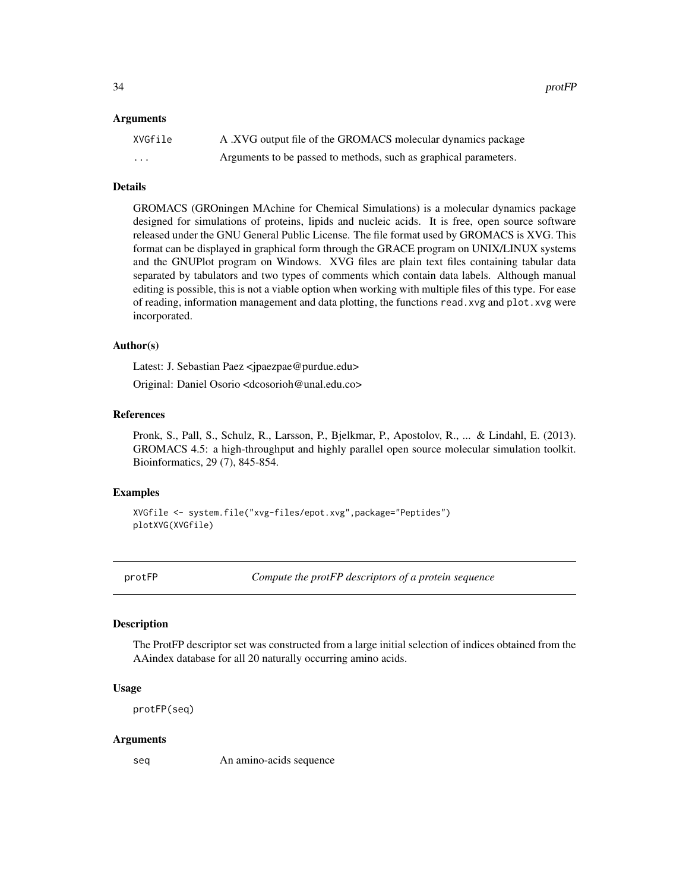<span id="page-33-0"></span>34 protFP

#### Arguments

| XVGfile  | A .XVG output file of the GROMACS molecular dynamics package     |
|----------|------------------------------------------------------------------|
| $\cdots$ | Arguments to be passed to methods, such as graphical parameters. |

#### Details

GROMACS (GROningen MAchine for Chemical Simulations) is a molecular dynamics package designed for simulations of proteins, lipids and nucleic acids. It is free, open source software released under the GNU General Public License. The file format used by GROMACS is XVG. This format can be displayed in graphical form through the GRACE program on UNIX/LINUX systems and the GNUPlot program on Windows. XVG files are plain text files containing tabular data separated by tabulators and two types of comments which contain data labels. Although manual editing is possible, this is not a viable option when working with multiple files of this type. For ease of reading, information management and data plotting, the functions read.xvg and plot.xvg were incorporated.

# Author(s)

Latest: J. Sebastian Paez <jpaezpae@purdue.edu>

Original: Daniel Osorio <dcosorioh@unal.edu.co>

# References

Pronk, S., Pall, S., Schulz, R., Larsson, P., Bjelkmar, P., Apostolov, R., ... & Lindahl, E. (2013). GROMACS 4.5: a high-throughput and highly parallel open source molecular simulation toolkit. Bioinformatics, 29 (7), 845-854.

#### Examples

```
XVGfile <- system.file("xvg-files/epot.xvg",package="Peptides")
plotXVG(XVGfile)
```
protFP *Compute the protFP descriptors of a protein sequence*

# Description

The ProtFP descriptor set was constructed from a large initial selection of indices obtained from the AAindex database for all 20 naturally occurring amino acids.

#### Usage

protFP(seq)

#### Arguments

seq An amino-acids sequence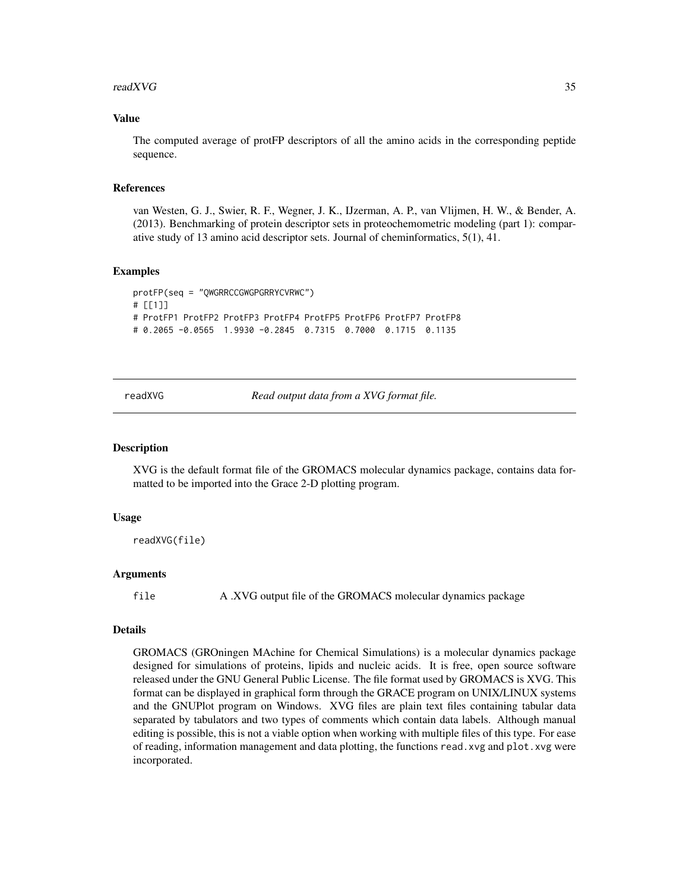#### <span id="page-34-0"></span>readXVG 35

#### Value

The computed average of protFP descriptors of all the amino acids in the corresponding peptide sequence.

#### References

van Westen, G. J., Swier, R. F., Wegner, J. K., IJzerman, A. P., van Vlijmen, H. W., & Bender, A. (2013). Benchmarking of protein descriptor sets in proteochemometric modeling (part 1): comparative study of 13 amino acid descriptor sets. Journal of cheminformatics, 5(1), 41.

#### Examples

```
protFP(seq = "QWGRRCCGWGPGRRYCVRWC")
# [[1]]
# ProtFP1 ProtFP2 ProtFP3 ProtFP4 ProtFP5 ProtFP6 ProtFP7 ProtFP8
# 0.2065 -0.0565 1.9930 -0.2845 0.7315 0.7000 0.1715 0.1135
```
readXVG *Read output data from a XVG format file.*

#### Description

XVG is the default format file of the GROMACS molecular dynamics package, contains data formatted to be imported into the Grace 2-D plotting program.

#### Usage

readXVG(file)

#### Arguments

file A .XVG output file of the GROMACS molecular dynamics package

#### Details

GROMACS (GROningen MAchine for Chemical Simulations) is a molecular dynamics package designed for simulations of proteins, lipids and nucleic acids. It is free, open source software released under the GNU General Public License. The file format used by GROMACS is XVG. This format can be displayed in graphical form through the GRACE program on UNIX/LINUX systems and the GNUPlot program on Windows. XVG files are plain text files containing tabular data separated by tabulators and two types of comments which contain data labels. Although manual editing is possible, this is not a viable option when working with multiple files of this type. For ease of reading, information management and data plotting, the functions read.xvg and plot.xvg were incorporated.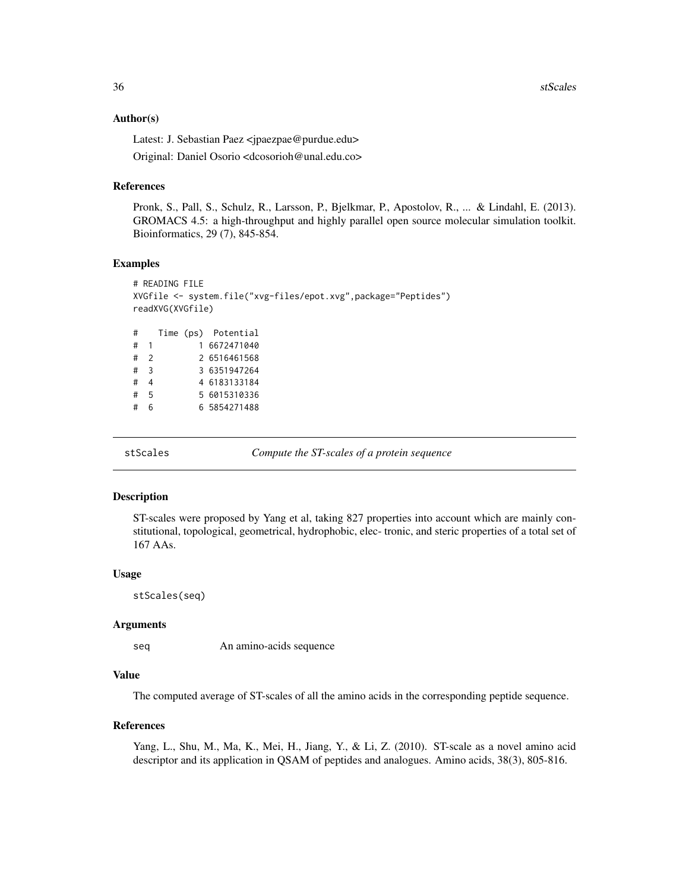<span id="page-35-0"></span>36 stScales

#### Author(s)

Latest: J. Sebastian Paez <jpaezpae@purdue.edu>

Original: Daniel Osorio <dcosorioh@unal.edu.co>

## References

Pronk, S., Pall, S., Schulz, R., Larsson, P., Bjelkmar, P., Apostolov, R., ... & Lindahl, E. (2013). GROMACS 4.5: a high-throughput and highly parallel open source molecular simulation toolkit. Bioinformatics, 29 (7), 845-854.

#### Examples

```
# READING FILE
XVGfile <- system.file("xvg-files/epot.xvg",package="Peptides")
readXVG(XVGfile)
# Time (ps) Potential
# 1 1 6672471040
# 2 2 6516461568
# 3 3 6351947264
# 4 4 6183133184
# 5 5 6015310336
# 6 6 5854271488
```
stScales *Compute the ST-scales of a protein sequence*

#### Description

ST-scales were proposed by Yang et al, taking 827 properties into account which are mainly constitutional, topological, geometrical, hydrophobic, elec- tronic, and steric properties of a total set of 167 AAs.

#### Usage

stScales(seq)

# Arguments

seq An amino-acids sequence

# Value

The computed average of ST-scales of all the amino acids in the corresponding peptide sequence.

#### References

Yang, L., Shu, M., Ma, K., Mei, H., Jiang, Y., & Li, Z. (2010). ST-scale as a novel amino acid descriptor and its application in QSAM of peptides and analogues. Amino acids, 38(3), 805-816.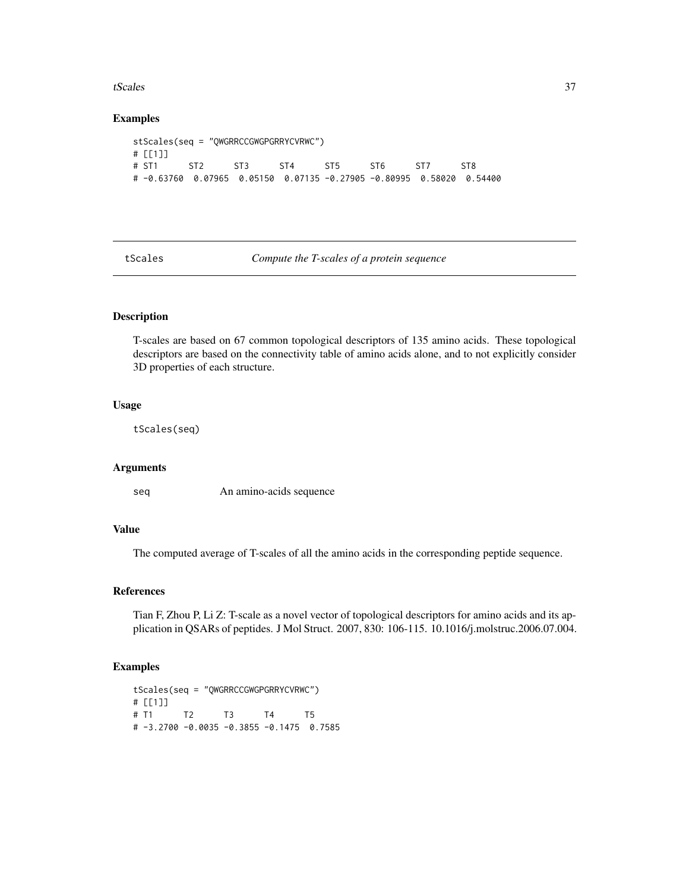#### <span id="page-36-0"></span>tScales 37

#### Examples

```
stScales(seq = "QWGRRCCGWGPGRRYCVRWC")
# [[1]]
# ST1 ST2 ST3 ST4 ST5 ST6 ST7 ST8
# -0.63760 0.07965 0.05150 0.07135 -0.27905 -0.80995 0.58020 0.54400
```
tScales *Compute the T-scales of a protein sequence*

# Description

T-scales are based on 67 common topological descriptors of 135 amino acids. These topological descriptors are based on the connectivity table of amino acids alone, and to not explicitly consider 3D properties of each structure.

# Usage

tScales(seq)

#### Arguments

seq An amino-acids sequence

# Value

The computed average of T-scales of all the amino acids in the corresponding peptide sequence.

#### References

Tian F, Zhou P, Li Z: T-scale as a novel vector of topological descriptors for amino acids and its application in QSARs of peptides. J Mol Struct. 2007, 830: 106-115. 10.1016/j.molstruc.2006.07.004.

```
tScales(seq = "QWGRRCCGWGPGRRYCVRWC")
# [[1]]
# T1 T2 T3 T4 T5
# -3.2700 -0.0035 -0.3855 -0.1475 0.7585
```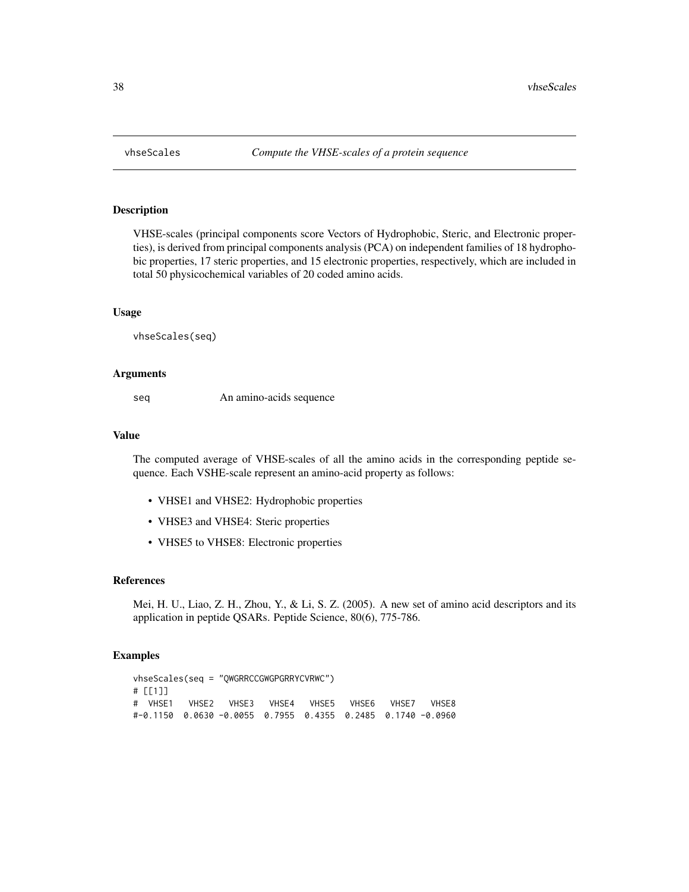<span id="page-37-0"></span>

# Description

VHSE-scales (principal components score Vectors of Hydrophobic, Steric, and Electronic properties), is derived from principal components analysis (PCA) on independent families of 18 hydrophobic properties, 17 steric properties, and 15 electronic properties, respectively, which are included in total 50 physicochemical variables of 20 coded amino acids.

#### Usage

vhseScales(seq)

#### Arguments

seq An amino-acids sequence

# Value

The computed average of VHSE-scales of all the amino acids in the corresponding peptide sequence. Each VSHE-scale represent an amino-acid property as follows:

- VHSE1 and VHSE2: Hydrophobic properties
- VHSE3 and VHSE4: Steric properties
- VHSE5 to VHSE8: Electronic properties

#### References

Mei, H. U., Liao, Z. H., Zhou, Y., & Li, S. Z. (2005). A new set of amino acid descriptors and its application in peptide QSARs. Peptide Science, 80(6), 775-786.

```
vhseScales(seq = "QWGRRCCGWGPGRRYCVRWC")
# [[1]]
# VHSE1 VHSE2 VHSE3 VHSE4 VHSE5 VHSE6 VHSE7 VHSE8
#-0.1150 0.0630 -0.0055 0.7955 0.4355 0.2485 0.1740 -0.0960
```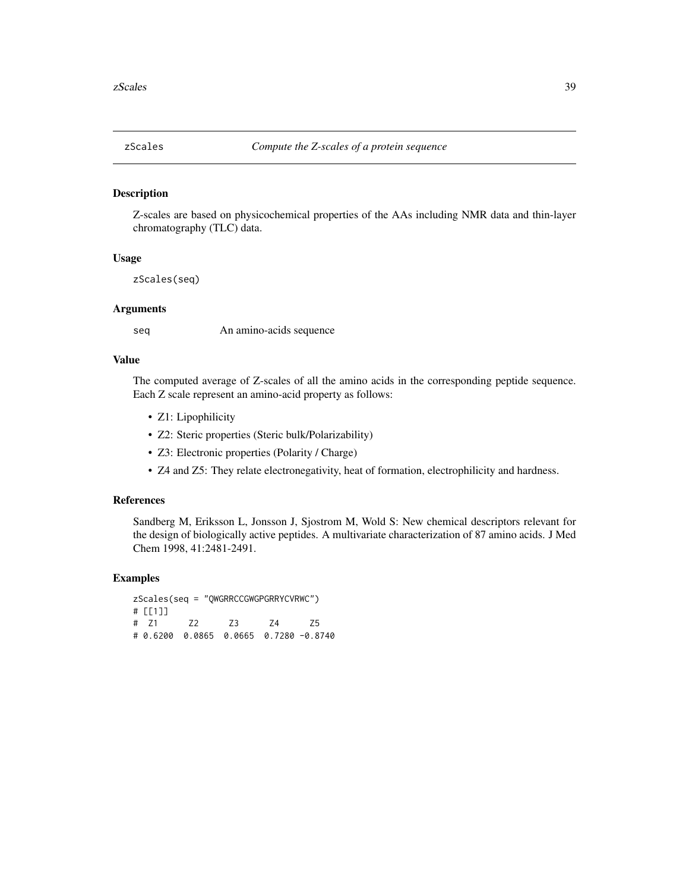<span id="page-38-0"></span>

#### Description

Z-scales are based on physicochemical properties of the AAs including NMR data and thin-layer chromatography (TLC) data.

### Usage

zScales(seq)

# Arguments

seq An amino-acids sequence

#### Value

The computed average of Z-scales of all the amino acids in the corresponding peptide sequence. Each Z scale represent an amino-acid property as follows:

- Z1: Lipophilicity
- Z2: Steric properties (Steric bulk/Polarizability)
- Z3: Electronic properties (Polarity / Charge)
- Z4 and Z5: They relate electronegativity, heat of formation, electrophilicity and hardness.

# References

Sandberg M, Eriksson L, Jonsson J, Sjostrom M, Wold S: New chemical descriptors relevant for the design of biologically active peptides. A multivariate characterization of 87 amino acids. J Med Chem 1998, 41:2481-2491.

```
zScales(seq = "QWGRRCCGWGPGRRYCVRWC")
# [[1]]
# Z1 Z2 Z3 Z4 Z5
# 0.6200 0.0865 0.0665 0.7280 -0.8740
```